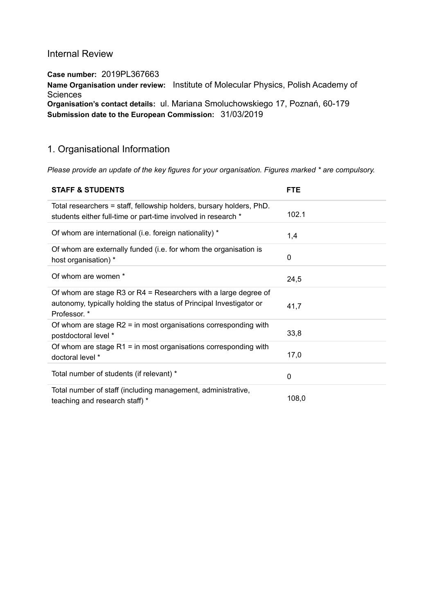# Internal Review

Case number: 2019PL367663 Name Organisation under review: Institute of Molecular Physics, Polish Academy of **Sciences** Organisation's contact details: ul. Mariana Smoluchowskiego 17, Poznań, 60-179 Submission date to the European Commission: 31/03/2019

# 1. Organisational Information

Please provide an update of the key figures for your organisation. Figures marked \* are compulsory.

| <b>STAFF &amp; STUDENTS</b>                                                                                                                            | <b>FTE</b> |
|--------------------------------------------------------------------------------------------------------------------------------------------------------|------------|
| Total researchers = staff, fellowship holders, bursary holders, PhD.<br>students either full-time or part-time involved in research *                  | 102.1      |
| Of whom are international (i.e. foreign nationality) *                                                                                                 | 1,4        |
| Of whom are externally funded (i.e. for whom the organisation is<br>host organisation) *                                                               | 0          |
| Of whom are women *                                                                                                                                    | 24,5       |
| Of whom are stage R3 or R4 = Researchers with a large degree of<br>autonomy, typically holding the status of Principal Investigator or<br>Professor. * | 41,7       |
| Of whom are stage $R2$ = in most organisations corresponding with<br>postdoctoral level *                                                              | 33,8       |
| Of whom are stage $R1$ = in most organisations corresponding with<br>doctoral level *                                                                  | 17,0       |
| Total number of students (if relevant) *                                                                                                               | 0          |
| Total number of staff (including management, administrative,<br>teaching and research staff) *                                                         | 108,0      |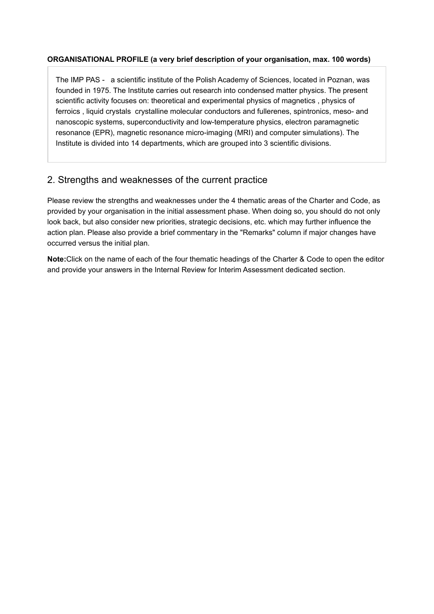# ORGANISATIONAL PROFILE (a very brief description of your organisation, max. 100 words)

The IMP PAS - a scientific institute of the Polish Academy of Sciences, located in Poznan, was founded in 1975. The Institute carries out research into condensed matter physics. The present scientific activity focuses on: theoretical and experimental physics of magnetics , physics of ferroics , liquid crystals crystalline molecular conductors and fullerenes, spintronics, meso- and nanoscopic systems, superconductivity and low-temperature physics, electron paramagnetic resonance (EPR), magnetic resonance micro-imaging (MRI) and computer simulations). The Institute is divided into 14 departments, which are grouped into 3 scientific divisions.

# 2. Strengths and weaknesses of the current practice

Please review the strengths and weaknesses under the 4 thematic areas of the Charter and Code, as provided by your organisation in the initial assessment phase. When doing so, you should do not only look back, but also consider new priorities, strategic decisions, etc. which may further influence the action plan. Please also provide a brief commentary in the "Remarks" column if major changes have occurred versus the initial plan.

Note:Click on the name of each of the four thematic headings of the Charter & Code to open the editor and provide your answers in the Internal Review for Interim Assessment dedicated section.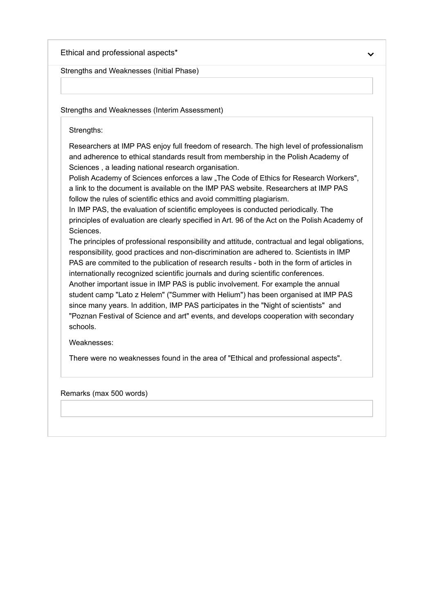Ethical and professional aspects \*

Strengths and Weaknesses (Initial Phase)

Strengths and Weaknesses (Interim Assessment)

Strengths:

Researchers at IMP PAS enjoy full freedom of research. The high level of professionalism and adherence to ethical standards result from membership in the Polish Academy of Sciences , a leading national research organisation.

Polish Academy of Sciences enforces a law "The Code of Ethics for Research Workers", a link to the document is available on the IMP PAS website. Researchers at IMP PAS follow the rules of scientific ethics and avoid committing plagiarism.

In IMP PAS, the evaluation of scientific employees is conducted periodically. The principles of evaluation are clearly specified in Art. 96 of the Act on the Polish Academy of Sciences.

The principles of professional responsibility and attitude, contractual and legal obligations, responsibility, good practices and non-discrimination are adhered to. Scientists in IMP PAS are commited to the publication of research results - both in the form of articles in internationally recognized scientific journals and during scientific conferences.

Another important issue in IMP PAS is public involvement. For example the annual student camp "Lato z Helem" ("Summer with Helium") has been organised at IMP PAS since many years. In addition, IMP PAS participates in the "Night of scientists" and "Poznan Festival of Science and art" events, and develops cooperation with secondary schools.

Weaknesses:

There were no weaknesses found in the area of "Ethical and professional aspects".

Remarks (max 500 words)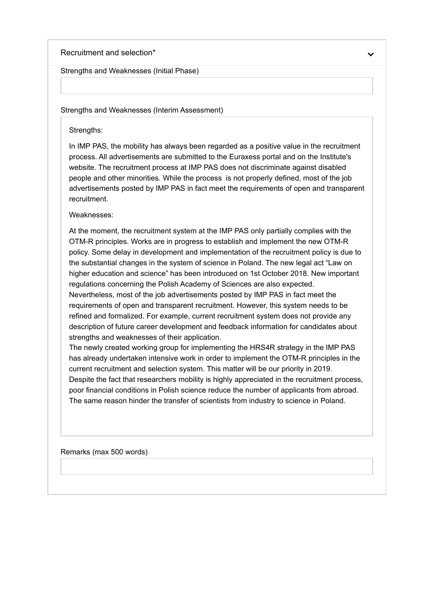### Recruitment and selection \*

#### Strengths and Weaknesses (Initial Phase)

#### Strengths and Weaknesses (Interim Assessment)

### Strengths:

In IMP PAS, the mobility has always been regarded as a positive value in the recruitment process. All advertisements are submitted to the Euraxess portal and on the Institute's website. The recruitment process at IMP PAS does not discriminate against disabled people and other minorities. While the process is not properly defined, most of the job advertisements posted by IMP PAS in fact meet the requirements of open and transparent recruitment.

### Weaknesses:

At the moment, the recruitment system at the IMP PAS only partially complies with the OTM-R principles. Works are in progress to establish and implement the new OTM-R policy. Some delay in development and implementation of the recruitment policy is due to the substantial changes in the system of science in Poland. The new legal act "Law on higher education and science" has been introduced on 1st October 2018. New important regulations concerning the Polish Academy of Sciences are also expected.

Nevertheless, most of the job advertisements posted by IMP PAS in fact meet the requirements of open and transparent recruitment. However, this system needs to be refined and formalized. For example, current recruitment system does not provide any description of future career development and feedback information for candidates about strengths and weaknesses of their application.

The newly created working group for implementing the HRS4R strategy in the IMP PAS has already undertaken intensive work in order to implement the OTM-R principles in the current recruitment and selection system. This matter will be our priority in 2019. Despite the fact that researchers mobility is highly appreciated in the recruitment process, poor financial conditions in Polish science reduce the number of applicants from abroad. The same reason hinder the transfer of scientists from industry to science in Poland.

Remarks (max 500 words)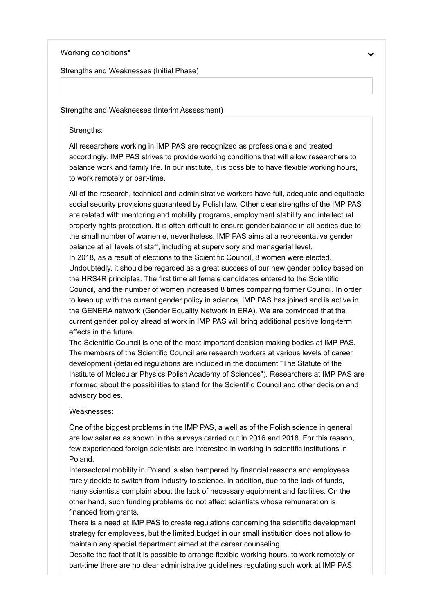#### Working conditions\*

Strengths and Weaknesses (Initial Phase)

#### Strengths and Weaknesses (Interim Assessment)

Strengths:

All researchers working in IMP PAS are recognized as professionals and treated accordingly. IMP PAS strives to provide working conditions that will allow researchers to balance work and family life. In our institute, it is possible to have flexible working hours, to work remotely or part-time.

All of the research, technical and administrative workers have full, adequate and equitable social security provisions guaranteed by Polish law. Other clear strengths of the IMP PAS are related with mentoring and mobility programs, employment stability and intellectual property rights protection. It is often difficult to ensure gender balance in all bodies due to the small number of women e, nevertheless, IMP PAS aims at a representative gender balance at all levels of staff, including at supervisory and managerial level. In 2018, as a result of elections to the Scientific Council, 8 women were elected. Undoubtedly, it should be regarded as a great success of our new gender policy based on the HRS4R principles. The first time all female candidates entered to the Scientific Council, and the number of women increased 8 times comparing former Council. In order to keep up with the current gender policy in science, IMP PAS has joined and is active in the GENERA network (Gender Equality Network in ERA). We are convinced that the current gender policy alread at work in IMP PAS will bring additional positive long-term effects in the future.

The Scientific Council is one of the most important decision-making bodies at IMP PAS. The members of the Scientific Council are research workers at various levels of career development (detailed regulations are included in the document "The Statute of the Institute of Molecular Physics Polish Academy of Sciences"). Researchers at IMP PAS are informed about the possibilities to stand for the Scientific Council and other decision and advisory bodies.

#### Weaknesses:

One of the biggest problems in the IMP PAS, a well as of the Polish science in general, are low salaries as shown in the surveys carried out in 2016 and 2018. For this reason, few experienced foreign scientists are interested in working in scientific institutions in Poland.

Intersectoral mobility in Poland is also hampered by financial reasons and employees rarely decide to switch from industry to science. In addition, due to the lack of funds, many scientists complain about the lack of necessary equipment and facilities. On the other hand, such funding problems do not affect scientists whose remuneration is financed from grants.

There is a need at IMP PAS to create regulations concerning the scientific development strategy for employees, but the limited budget in our small institution does not allow to maintain any special department aimed at the career counseling.

Despite the fact that it is possible to arrange flexible working hours, to work remotely or part-time there are no clear administrative guidelines regulating such work at IMP PAS.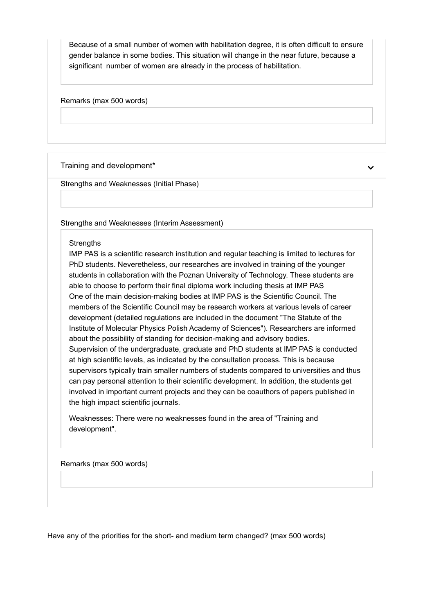Because of a small number of women with habilitation degree, it is often difficult to ensure gender balance in some bodies. This situation will change in the near future, because a significant number of women are already in the process of habilitation.

Remarks (max 500 words)

### Training and development\*

Strengths and Weaknesses (Initial Phase)

Strengths and Weaknesses (Interim Assessment)

### **Strengths**

IMP PAS is a scientific research institution and regular teaching is limited to lectures for PhD students. Neveretheless, our researches are involved in training of the younger students in collaboration with the Poznan University of Technology. These students are able to choose to perform their final diploma work including thesis at IMP PAS One of the main decision-making bodies at IMP PAS is the Scientific Council. The members of the Scientific Council may be research workers at various levels of career development (detailed regulations are included in the document "The Statute of the Institute of Molecular Physics Polish Academy of Sciences"). Researchers are informed about the possibility of standing for decision-making and advisory bodies. Supervision of the undergraduate, graduate and PhD students at IMP PAS is conducted at high scientific levels, as indicated by the consultation process. This is because supervisors typically train smaller numbers of students compared to universities and thus can pay personal attention to their scientific development. In addition, the students get involved in important current projects and they can be coauthors of papers published in the high impact scientific journals.

Weaknesses: There were no weaknesses found in the area of "Training and development".

Remarks (max 500 words)

Have any of the priorities for the short- and medium term changed? (max 500 words)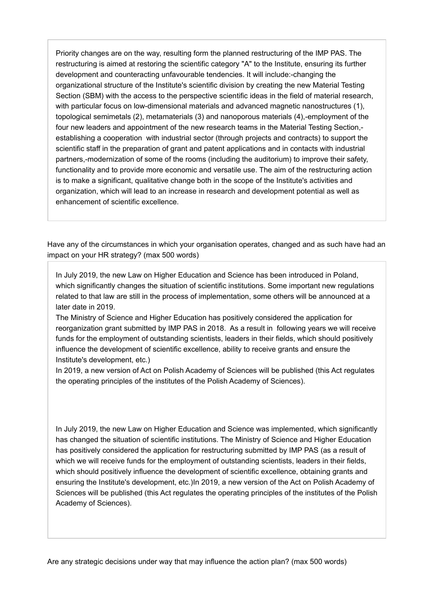Priority changes are on the way, resulting form the planned restructuring of the IMP PAS. The restructuring is aimed at restoring the scientific category "A" to the Institute, ensuring its further development and counteracting unfavourable tendencies. It will include:-changing the organizational structure of the Institute's scientific division by creating the new Material Testing Section (SBM) with the access to the perspective scientific ideas in the field of material research, with particular focus on low-dimensional materials and advanced magnetic nanostructures (1), topological semimetals (2), metamaterials (3) and nanoporous materials (4),-employment of the four new leaders and appointment of the new research teams in the Material Testing Section, establishing a cooperation with industrial sector (through projects and contracts) to support the scientific staff in the preparation of grant and patent applications and in contacts with industrial partners,-modernization of some of the rooms (including the auditorium) to improve their safety, functionality and to provide more economic and versatile use. The aim of the restructuring action is to make a significant, qualitative change both in the scope of the Institute's activities and organization, which will lead to an increase in research and development potential as well as enhancement of scientific excellence.

Have any of the circumstances in which your organisation operates, changed and as such have had an impact on your HR strategy? (max 500 words)

In July 2019, the new Law on Higher Education and Science has been introduced in Poland, which significantly changes the situation of scientific institutions. Some important new regulations related to that law are still in the process of implementation, some others will be announced at a later date in 2019.

The Ministry of Science and Higher Education has positively considered the application for reorganization grant submitted by IMP PAS in 2018. As a result in following years we will receive funds for the employment of outstanding scientists, leaders in their fields, which should positively influence the development of scientific excellence, ability to receive grants and ensure the Institute's development, etc.)

In 2019, a new version of Act on Polish Academy of Sciences will be published (this Act regulates the operating principles of the institutes of the Polish Academy of Sciences).

In July 2019, the new Law on Higher Education and Science was implemented, which significantly has changed the situation of scientific institutions. The Ministry of Science and Higher Education has positively considered the application for restructuring submitted by IMP PAS (as a result of which we will receive funds for the employment of outstanding scientists, leaders in their fields, which should positively influence the development of scientific excellence, obtaining grants and ensuring the Institute's development, etc.)In 2019, a new version of the Act on Polish Academy of Sciences will be published (this Act regulates the operating principles of the institutes of the Polish Academy of Sciences).

Are any strategic decisions under way that may influence the action plan? (max 500 words)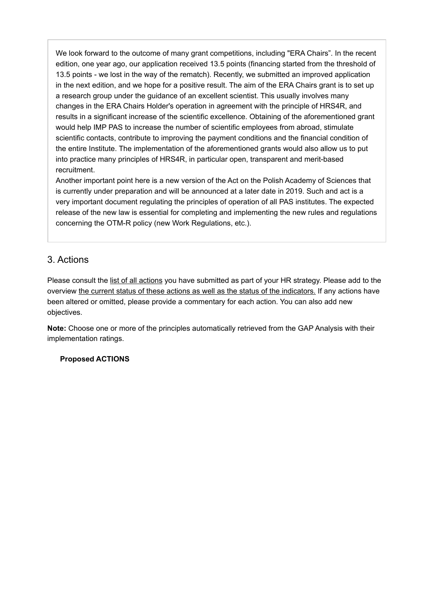We look forward to the outcome of many grant competitions, including "ERA Chairs". In the recent edition, one year ago, our application received 13.5 points (financing started from the threshold of 13.5 points - we lost in the way of the rematch). Recently, we submitted an improved application in the next edition, and we hope for a positive result. The aim of the ERA Chairs grant is to set up a research group under the guidance of an excellent scientist. This usually involves many changes in the ERA Chairs Holder's operation in agreement with the principle of HRS4R, and results in a significant increase of the scientific excellence. Obtaining of the aforementioned grant would help IMP PAS to increase the number of scientific employees from abroad, stimulate scientific contacts, contribute to improving the payment conditions and the financial condition of the entire Institute. The implementation of the aforementioned grants would also allow us to put into practice many principles of HRS4R, in particular open, transparent and merit-based recruitment.

Another important point here is a new version of the Act on the Polish Academy of Sciences that is currently under preparation and will be announced at a later date in 2019. Such and act is a very important document regulating the principles of operation of all PAS institutes. The expected release of the new law is essential for completing and implementing the new rules and regulations concerning the OTM-R policy (new Work Regulations, etc.).

# 3. Actions

Please consult the list of all actions you have submitted as part of your HR strategy. Please add to the overview the current status of these actions as well as the status of the indicators. If any actions have been altered or omitted, please provide a commentary for each action. You can also add new objectives.

Note: Choose one or more of the principles automatically retrieved from the GAP Analysis with their implementation ratings.

# Proposed ACTIONS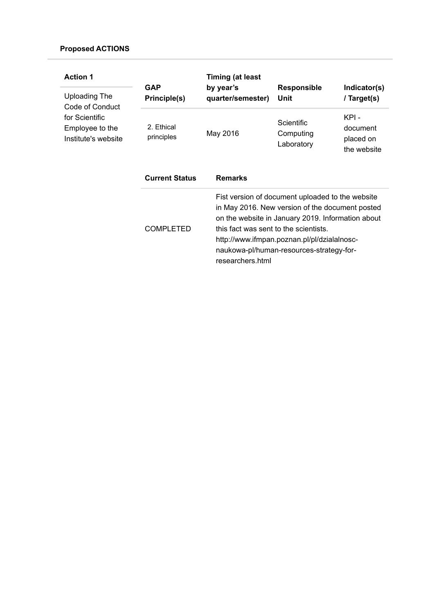| <b>Action 1</b>                                          | <b>GAP</b>               | <b>Timing (at least</b><br>by year's                      | <b>Responsible</b>                                                                                                                                                                                                                                  | Indicator(s)                                  |
|----------------------------------------------------------|--------------------------|-----------------------------------------------------------|-----------------------------------------------------------------------------------------------------------------------------------------------------------------------------------------------------------------------------------------------------|-----------------------------------------------|
| Uploading The<br>Code of Conduct                         | Principle(s)             | quarter/semester)                                         | Unit                                                                                                                                                                                                                                                | / Target(s)                                   |
| for Scientific<br>Employee to the<br>Institute's website | 2. Ethical<br>principles | May 2016                                                  | Scientific<br>Computing<br>Laboratory                                                                                                                                                                                                               | KPI -<br>document<br>placed on<br>the website |
|                                                          | <b>Current Status</b>    | <b>Remarks</b>                                            |                                                                                                                                                                                                                                                     |                                               |
|                                                          | <b>COMPLETED</b>         | this fact was sent to the scientists.<br>researchers.html | Fist version of document uploaded to the website<br>in May 2016. New version of the document posted<br>on the website in January 2019. Information about<br>http://www.ifmpan.poznan.pl/pl/dzialalnosc-<br>naukowa-pl/human-resources-strategy-for- |                                               |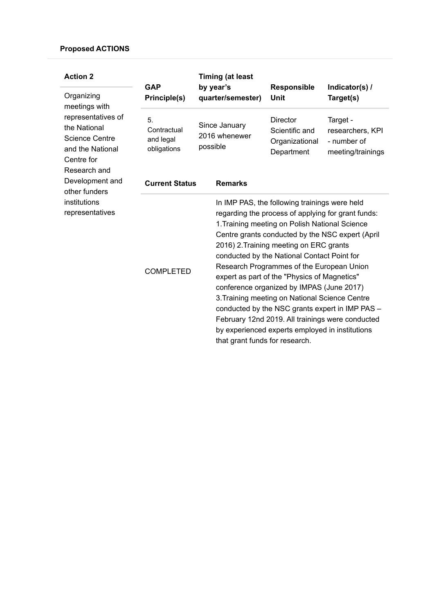| <b>Action 2</b><br>Organizing<br>meetings with                                                                | <b>GAP</b><br>Principle(s)                    | <b>Timing (at least</b><br>by year's<br>quarter/semester) | <b>Responsible</b><br>Unit                                                                                                                                                                                                                                                                                                                                                                                                                                                                     | Indicator(s) /<br>Target(s)                                                                                                                             |
|---------------------------------------------------------------------------------------------------------------|-----------------------------------------------|-----------------------------------------------------------|------------------------------------------------------------------------------------------------------------------------------------------------------------------------------------------------------------------------------------------------------------------------------------------------------------------------------------------------------------------------------------------------------------------------------------------------------------------------------------------------|---------------------------------------------------------------------------------------------------------------------------------------------------------|
| representatives of<br>the National<br><b>Science Centre</b><br>and the National<br>Centre for<br>Research and | 5.<br>Contractual<br>and legal<br>obligations | Since January<br>2016 whenewer<br>possible                | <b>Director</b><br>Scientific and<br>Organizational<br>Department                                                                                                                                                                                                                                                                                                                                                                                                                              | Target -<br>researchers, KPI<br>- number of<br>meeting/trainings                                                                                        |
| Development and<br>other funders                                                                              | <b>Current Status</b>                         | <b>Remarks</b>                                            |                                                                                                                                                                                                                                                                                                                                                                                                                                                                                                |                                                                                                                                                         |
| institutions<br>representatives                                                                               | <b>COMPLETED</b>                              | that grant funds for research.                            | In IMP PAS, the following trainings were held<br>regarding the process of applying for grant funds:<br>1. Training meeting on Polish National Science<br>2016) 2. Training meeting on ERC grants<br>conducted by the National Contact Point for<br>Research Programmes of the European Union<br>expert as part of the "Physics of Magnetics"<br>conference organized by IMPAS (June 2017)<br>3. Training meeting on National Science Centre<br>by experienced experts employed in institutions | Centre grants conducted by the NSC expert (April<br>conducted by the NSC grants expert in IMP PAS -<br>February 12nd 2019. All trainings were conducted |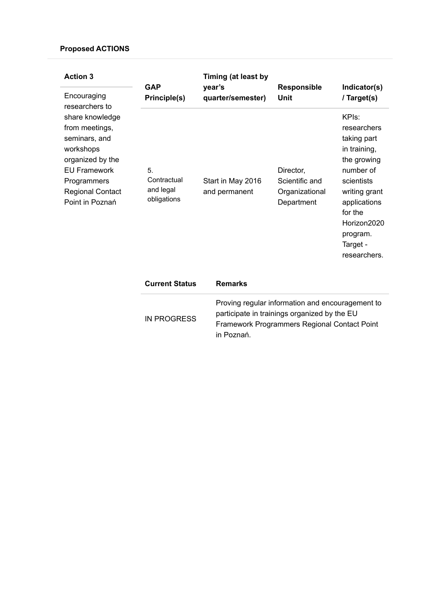| <b>Action 3</b>                                                                                                                                                  | <b>GAP</b>                                    | Timing (at least by<br>year's      | <b>Responsible</b>                                                                                                                               | Indicator(s)                                                                                                                                                                                     |
|------------------------------------------------------------------------------------------------------------------------------------------------------------------|-----------------------------------------------|------------------------------------|--------------------------------------------------------------------------------------------------------------------------------------------------|--------------------------------------------------------------------------------------------------------------------------------------------------------------------------------------------------|
| Encouraging<br>researchers to                                                                                                                                    | Principle(s)                                  | quarter/semester)                  | <b>Unit</b>                                                                                                                                      | / Target(s)                                                                                                                                                                                      |
| share knowledge<br>from meetings,<br>seminars, and<br>workshops<br>organized by the<br><b>EU Framework</b><br>Programmers<br>Regional Contact<br>Point in Poznań | 5.<br>Contractual<br>and legal<br>obligations | Start in May 2016<br>and permanent | Director,<br>Scientific and<br>Organizational<br>Department                                                                                      | KPIs:<br>researchers<br>taking part<br>in training,<br>the growing<br>number of<br>scientists<br>writing grant<br>applications<br>for the<br>Horizon2020<br>program.<br>Target -<br>researchers. |
|                                                                                                                                                                  | <b>Current Status</b>                         | <b>Remarks</b>                     |                                                                                                                                                  |                                                                                                                                                                                                  |
|                                                                                                                                                                  | <b>IN PROGRESS</b>                            |                                    | Proving regular information and encouragement to<br>participate in trainings organized by the EU<br>Framework Programmers Regional Contact Point |                                                                                                                                                                                                  |

in Poznań.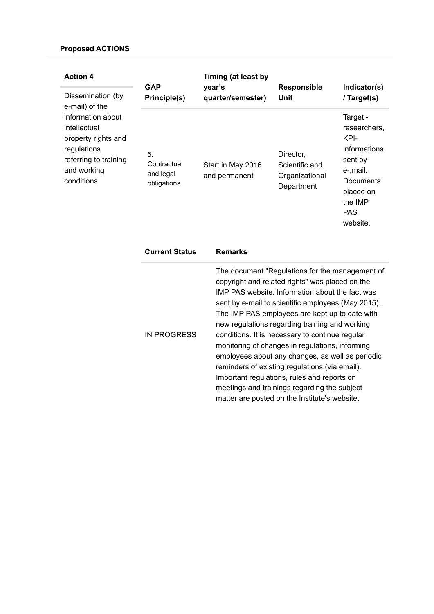| <b>Action 4</b>                                                                                                                                                      | <b>GAP</b>                                                    | Timing (at least by<br>year's                           | <b>Responsible</b>                                                  | Indicator(s)                                                                                                                                          |
|----------------------------------------------------------------------------------------------------------------------------------------------------------------------|---------------------------------------------------------------|---------------------------------------------------------|---------------------------------------------------------------------|-------------------------------------------------------------------------------------------------------------------------------------------------------|
| Dissemination (by<br>e-mail) of the<br>information about<br>intellectual<br>property rights and<br>regulations<br>referring to training<br>and working<br>conditions | Principle(s)<br>5.<br>Contractual<br>and legal<br>obligations | quarter/semester)<br>Start in May 2016<br>and permanent | Unit<br>Director,<br>Scientific and<br>Organizational<br>Department | / Target(s)<br>Target -<br>researchers,<br>KPI-<br>informations<br>sent by<br>e-,mail.<br>Documents<br>placed on<br>the IMP<br><b>PAS</b><br>website. |

| <b>Current Status</b> | <b>Remarks</b>                                                                                                                                                                                                                                                                                                                                                                                                                                                                                                                                                                                                             |
|-----------------------|----------------------------------------------------------------------------------------------------------------------------------------------------------------------------------------------------------------------------------------------------------------------------------------------------------------------------------------------------------------------------------------------------------------------------------------------------------------------------------------------------------------------------------------------------------------------------------------------------------------------------|
| IN PROGRESS           | The document "Regulations for the management of<br>copyright and related rights" was placed on the<br>IMP PAS website. Information about the fact was<br>sent by e-mail to scientific employees (May 2015).<br>The IMP PAS employees are kept up to date with<br>new regulations regarding training and working<br>conditions. It is necessary to continue regular<br>monitoring of changes in regulations, informing<br>employees about any changes, as well as periodic<br>reminders of existing regulations (via email).<br>Important regulations, rules and reports on<br>meetings and trainings regarding the subject |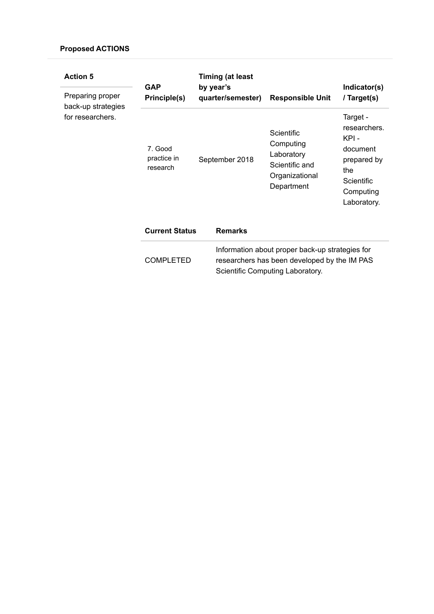| <b>Action 5</b>                        | <b>GAP</b>                         | <b>Timing (at least</b><br>by year's |                                                                                                                                     | Indicator(s)                                                                                                  |
|----------------------------------------|------------------------------------|--------------------------------------|-------------------------------------------------------------------------------------------------------------------------------------|---------------------------------------------------------------------------------------------------------------|
| Preparing proper<br>back-up strategies | Principle(s)                       | quarter/semester)                    | <b>Responsible Unit</b>                                                                                                             | / Target(s)                                                                                                   |
| for researchers.                       | 7. Good<br>practice in<br>research | September 2018                       | Scientific<br>Computing<br>Laboratory<br>Scientific and<br>Organizational<br>Department                                             | Target -<br>researchers.<br>KPI -<br>document<br>prepared by<br>the<br>Scientific<br>Computing<br>Laboratory. |
|                                        | <b>Current Status</b>              | <b>Remarks</b>                       |                                                                                                                                     |                                                                                                               |
|                                        | <b>COMPLETED</b>                   |                                      | Information about proper back-up strategies for<br>researchers has been developed by the IM PAS<br>Scientific Computing Laboratory. |                                                                                                               |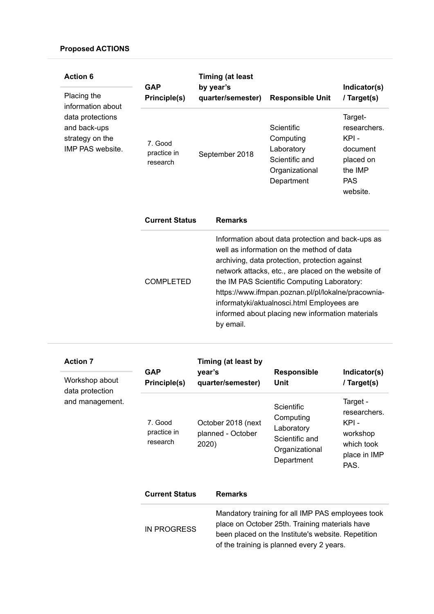| <b>Action 6</b><br>Placing the<br>information about                     | <b>GAP</b><br>Principle(s)         | <b>Timing (at least</b><br>by year's<br>quarter/semester) | <b>Responsible Unit</b>                                                                                                                                                                                                                                                                                                                                                                                        | Indicator(s)<br>/ Target(s)                                                                   |
|-------------------------------------------------------------------------|------------------------------------|-----------------------------------------------------------|----------------------------------------------------------------------------------------------------------------------------------------------------------------------------------------------------------------------------------------------------------------------------------------------------------------------------------------------------------------------------------------------------------------|-----------------------------------------------------------------------------------------------|
| data protections<br>and back-ups<br>strategy on the<br>IMP PAS website. | 7. Good<br>practice in<br>research | September 2018                                            | Scientific<br>Computing<br>Laboratory<br>Scientific and<br>Organizational<br>Department                                                                                                                                                                                                                                                                                                                        | Target-<br>researchers.<br>KPI-<br>document<br>placed on<br>the IMP<br><b>PAS</b><br>website. |
|                                                                         | <b>Current Status</b>              | <b>Remarks</b>                                            |                                                                                                                                                                                                                                                                                                                                                                                                                |                                                                                               |
|                                                                         | <b>COMPLETED</b>                   | by email.                                                 | Information about data protection and back-ups as<br>well as information on the method of data<br>archiving, data protection, protection against<br>network attacks, etc., are placed on the website of<br>the IM PAS Scientific Computing Laboratory:<br>https://www.ifmpan.poznan.pl/pl/lokalne/pracownia-<br>informatyki/aktualnosci.html Employees are<br>informed about placing new information materials |                                                                                               |

| <b>Action 7</b><br>Workshop about<br>data protection | <b>GAP</b><br>Principle(s)         | year's | Timing (at least by<br>quarter/semester) | <b>Responsible</b><br>Unit                                                                                                                                                                             | Indicator(s)<br>/ Target(s)                                                        |
|------------------------------------------------------|------------------------------------|--------|------------------------------------------|--------------------------------------------------------------------------------------------------------------------------------------------------------------------------------------------------------|------------------------------------------------------------------------------------|
| and management.                                      | 7. Good<br>practice in<br>research | 2020)  | October 2018 (next<br>planned - October  | Scientific<br>Computing<br>Laboratory<br>Scientific and<br>Organizational<br>Department                                                                                                                | Target -<br>researchers.<br>KPI-<br>workshop<br>which took<br>place in IMP<br>PAS. |
|                                                      | <b>Current Status</b>              |        | <b>Remarks</b>                           |                                                                                                                                                                                                        |                                                                                    |
|                                                      | <b>IN PROGRESS</b>                 |        |                                          | Mandatory training for all IMP PAS employees took<br>place on October 25th. Training materials have<br>been placed on the Institute's website. Repetition<br>of the training is planned every 2 years. |                                                                                    |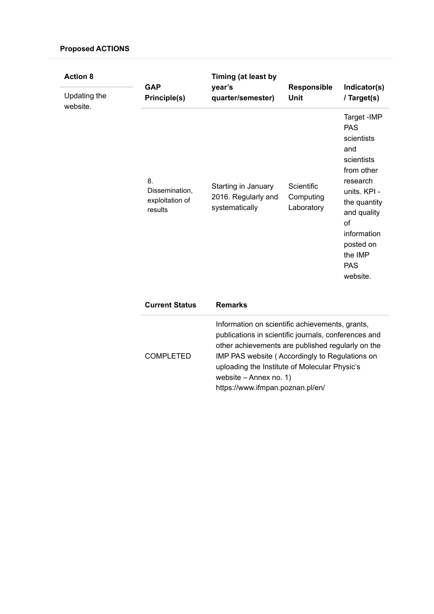| <b>Action 8</b><br>Updating the<br>website. | <b>GAP</b><br>Principle(s)                         | Timing (at least by<br>year's<br>quarter/semester)                                                                                                                                                                                                                                                                            | <b>Responsible</b><br><b>Unit</b>     | Indicator(s)<br>/ Target(s)                                                                                                                                                                                   |
|---------------------------------------------|----------------------------------------------------|-------------------------------------------------------------------------------------------------------------------------------------------------------------------------------------------------------------------------------------------------------------------------------------------------------------------------------|---------------------------------------|---------------------------------------------------------------------------------------------------------------------------------------------------------------------------------------------------------------|
|                                             | 8.<br>Dissemination,<br>exploitation of<br>results | Starting in January<br>2016. Regularly and<br>systematically                                                                                                                                                                                                                                                                  | Scientific<br>Computing<br>Laboratory | Target - IMP<br><b>PAS</b><br>scientists<br>and<br>scientists<br>from other<br>research<br>units. KPI -<br>the quantity<br>and quality<br>of<br>information<br>posted on<br>the IMP<br><b>PAS</b><br>website. |
|                                             | <b>Current Status</b>                              | <b>Remarks</b>                                                                                                                                                                                                                                                                                                                |                                       |                                                                                                                                                                                                               |
|                                             | <b>COMPLETED</b>                                   | Information on scientific achievements, grants,<br>publications in scientific journals, conferences and<br>other achievements are published regularly on the<br>IMP PAS website (Accordingly to Regulations on<br>uploading the Institute of Molecular Physic's<br>website - Annex no. 1)<br>https://www.ifmpan.poznan.pl/en/ |                                       |                                                                                                                                                                                                               |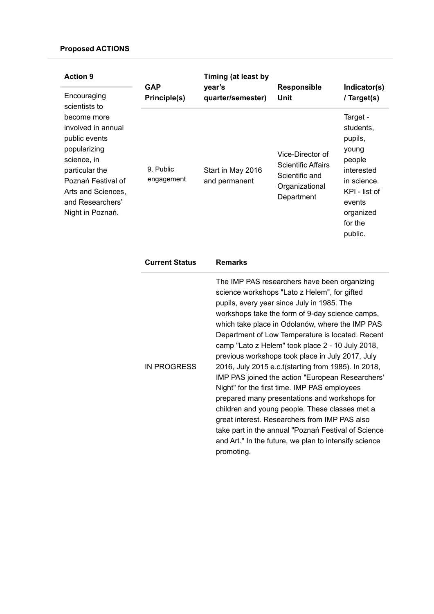| <b>Action 9</b>                                                                                                                                                                         | <b>GAP</b>              | Timing (at least by<br>year's      | <b>Responsible</b>                                                                              | Indicator(s)                                                                                                                                   |
|-----------------------------------------------------------------------------------------------------------------------------------------------------------------------------------------|-------------------------|------------------------------------|-------------------------------------------------------------------------------------------------|------------------------------------------------------------------------------------------------------------------------------------------------|
| Encouraging<br>scientists to                                                                                                                                                            | Principle(s)            | quarter/semester)                  | Unit                                                                                            | / Target(s)                                                                                                                                    |
| become more<br>involved in annual<br>public events<br>popularizing<br>science, in<br>particular the<br>Poznań Festival of<br>Arts and Sciences,<br>and Researchers'<br>Night in Poznań. | 9. Public<br>engagement | Start in May 2016<br>and permanent | Vice-Director of<br><b>Scientific Affairs</b><br>Scientific and<br>Organizational<br>Department | Target -<br>students,<br>pupils,<br>young<br>people<br>interested<br>in science.<br>KPI - list of<br>events<br>organized<br>for the<br>public. |

| <b>Current Status</b> | <b>Remarks</b>                                                                                                                                                                                                                                                                                                                                                                                                                                                                                                                                                                                                                                                                                                                                                                                                                                             |
|-----------------------|------------------------------------------------------------------------------------------------------------------------------------------------------------------------------------------------------------------------------------------------------------------------------------------------------------------------------------------------------------------------------------------------------------------------------------------------------------------------------------------------------------------------------------------------------------------------------------------------------------------------------------------------------------------------------------------------------------------------------------------------------------------------------------------------------------------------------------------------------------|
| IN PROGRESS           | The IMP PAS researchers have been organizing<br>science workshops "Lato z Helem", for gifted<br>pupils, every year since July in 1985. The<br>workshops take the form of 9-day science camps,<br>which take place in Odolanów, where the IMP PAS<br>Department of Low Temperature is located. Recent<br>camp "Lato z Helem" took place 2 - 10 July 2018,<br>previous workshops took place in July 2017, July<br>2016, July 2015 e.c.t (starting from 1985). In 2018,<br>IMP PAS joined the action "European Researchers'<br>Night" for the first time. IMP PAS employees<br>prepared many presentations and workshops for<br>children and young people. These classes met a<br>great interest. Researchers from IMP PAS also<br>take part in the annual "Poznań Festival of Science<br>and Art." In the future, we plan to intensify science<br>promoting. |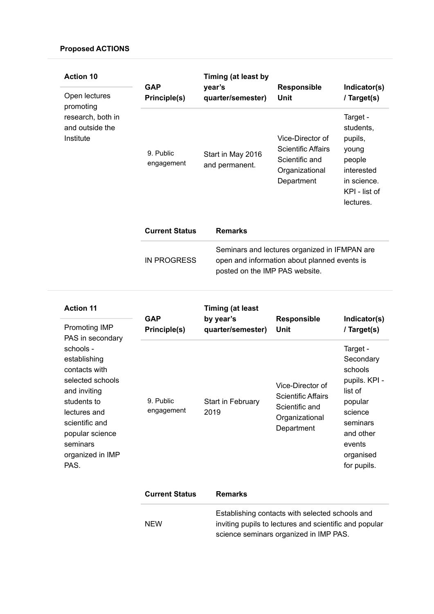| <b>Action 10</b>                                                                | <b>GAP</b><br>Principle(s) | Timing (at least by<br>year's       | <b>Responsible</b>                                                                                                              | Indicator(s)                                                                                                   |
|---------------------------------------------------------------------------------|----------------------------|-------------------------------------|---------------------------------------------------------------------------------------------------------------------------------|----------------------------------------------------------------------------------------------------------------|
| Open lectures<br>promoting<br>research, both in<br>and outside the<br>Institute |                            | quarter/semester)                   | Unit                                                                                                                            | / Target(s)                                                                                                    |
|                                                                                 | 9. Public<br>engagement    | Start in May 2016<br>and permanent. | Vice-Director of<br><b>Scientific Affairs</b><br>Scientific and<br>Organizational<br>Department                                 | Target -<br>students,<br>pupils,<br>young<br>people<br>interested<br>in science.<br>KPI - list of<br>lectures. |
|                                                                                 | <b>Current Status</b>      | <b>Remarks</b>                      |                                                                                                                                 |                                                                                                                |
|                                                                                 | <b>IN PROGRESS</b>         |                                     | Seminars and lectures organized in IFMPAN are<br>open and information about planned events is<br>posted on the IMP PAS website. |                                                                                                                |

| <b>Action 11</b>                                                                                                                                                                           | <b>GAP</b><br>Principle(s) | <b>Timing (at least</b><br>by year's<br>quarter/semester) | <b>Responsible</b><br>Unit                                                                      | Indicator(s)                                                                                                                                      |
|--------------------------------------------------------------------------------------------------------------------------------------------------------------------------------------------|----------------------------|-----------------------------------------------------------|-------------------------------------------------------------------------------------------------|---------------------------------------------------------------------------------------------------------------------------------------------------|
| Promoting IMP<br>PAS in secondary                                                                                                                                                          |                            |                                                           |                                                                                                 | / Target(s)                                                                                                                                       |
| schools -<br>establishing<br>contacts with<br>selected schools<br>and inviting<br>students to<br>lectures and<br>scientific and<br>popular science<br>seminars<br>organized in IMP<br>PAS. | 9. Public<br>engagement    | <b>Start in February</b><br>2019                          | Vice-Director of<br><b>Scientific Affairs</b><br>Scientific and<br>Organizational<br>Department | Target -<br>Secondary<br>schools<br>pupils. KPI -<br>list of<br>popular<br>science<br>seminars<br>and other<br>events<br>organised<br>for pupils. |

| <b>Current Status</b> | <b>Remarks</b>                                                                                            |
|-----------------------|-----------------------------------------------------------------------------------------------------------|
| <b>NFW</b>            | Establishing contacts with selected schools and<br>inviting pupils to lectures and scientific and popular |
|                       | science seminars organized in IMP PAS.                                                                    |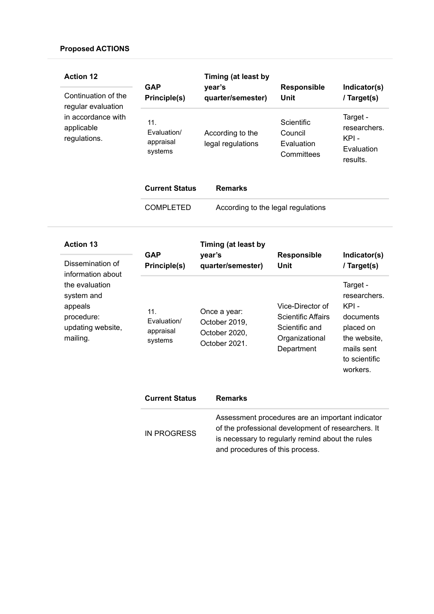| <b>Action 12</b><br>Continuation of the<br>regular evaluation<br>in accordance with<br>applicable<br>regulations. | <b>GAP</b><br>Principle(s)                 | Timing (at least by<br>year's<br>quarter/semester)              | Responsible<br><b>Unit</b>                                                                                                                                 | Indicator(s)<br>/ Target(s)                                                                                           |
|-------------------------------------------------------------------------------------------------------------------|--------------------------------------------|-----------------------------------------------------------------|------------------------------------------------------------------------------------------------------------------------------------------------------------|-----------------------------------------------------------------------------------------------------------------------|
|                                                                                                                   | 11.<br>Evaluation/<br>appraisal<br>systems | According to the<br>legal regulations                           | Scientific<br>Council<br>Evaluation<br>Committees                                                                                                          | Target -<br>researchers.<br>KPI-<br>Evaluation<br>results.                                                            |
|                                                                                                                   | <b>Current Status</b>                      | <b>Remarks</b>                                                  |                                                                                                                                                            |                                                                                                                       |
|                                                                                                                   | <b>COMPLETED</b>                           | According to the legal regulations                              |                                                                                                                                                            |                                                                                                                       |
| <b>Action 13</b>                                                                                                  |                                            | Timing (at least by                                             |                                                                                                                                                            |                                                                                                                       |
| Dissemination of                                                                                                  | <b>GAP</b><br>Principle(s)                 | year's<br>quarter/semester)                                     | Responsible<br><b>Unit</b>                                                                                                                                 | Indicator(s)<br>/ Target(s)                                                                                           |
| information about<br>the evaluation<br>system and<br>appeals<br>procedure:<br>updating website,<br>mailing.       | 11.<br>Evaluation/<br>appraisal<br>systems | Once a year:<br>October 2019,<br>October 2020,<br>October 2021. | Vice-Director of<br><b>Scientific Affairs</b><br>Scientific and<br>Organizational<br>Department                                                            | Target -<br>researchers.<br>KPI-<br>documents<br>placed on<br>the website,<br>mails sent<br>to scientific<br>workers. |
|                                                                                                                   | <b>Current Status</b>                      | <b>Remarks</b>                                                  |                                                                                                                                                            |                                                                                                                       |
|                                                                                                                   | <b>IN PROGRESS</b>                         |                                                                 | Assessment procedures are an important indicator<br>of the professional development of researchers. It<br>is necessary to regularly remind about the rules |                                                                                                                       |

and procedures of this process.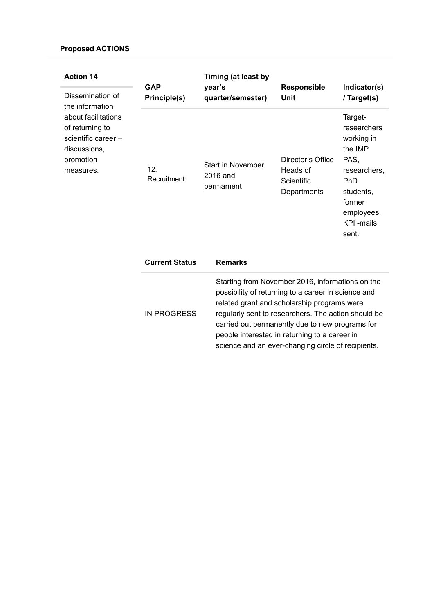| <b>Action 14</b><br>Dissemination of<br>the information                                                 | <b>GAP</b><br>Principle(s) | Timing (at least by<br>year's<br>quarter/semester) | <b>Responsible</b><br>Unit                                 | Indicator(s)<br>/ Target(s)                                                                                                                              |
|---------------------------------------------------------------------------------------------------------|----------------------------|----------------------------------------------------|------------------------------------------------------------|----------------------------------------------------------------------------------------------------------------------------------------------------------|
| about facilitations<br>of returning to<br>scientific career -<br>discussions,<br>promotion<br>measures. | 12.<br>Recruitment         | <b>Start in November</b><br>2016 and<br>permament  | Director's Office<br>Heads of<br>Scientific<br>Departments | Target-<br>researchers<br>working in<br>the IMP<br>PAS,<br>researchers,<br><b>PhD</b><br>students,<br>former<br>employees.<br><b>KPI</b> -mails<br>sent. |
|                                                                                                         | <b>Current Status</b>      | <b>Remarks</b>                                     |                                                            |                                                                                                                                                          |

| IN PROGRESS | Starting from November 2016, informations on the<br>possibility of returning to a career in science and<br>related grant and scholarship programs were<br>regularly sent to researchers. The action should be<br>carried out permanently due to new programs for |
|-------------|------------------------------------------------------------------------------------------------------------------------------------------------------------------------------------------------------------------------------------------------------------------|
|             | people interested in returning to a career in                                                                                                                                                                                                                    |
|             | science and an ever-changing circle of recipients.                                                                                                                                                                                                               |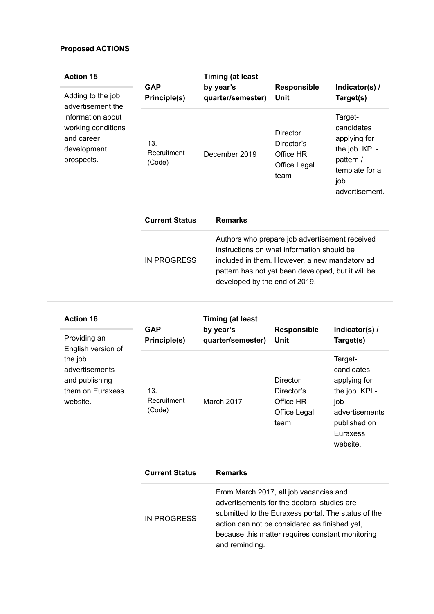| <b>Action 15</b><br>Adding to the job<br>advertisement the<br>information about<br>working conditions<br>and career<br>development<br>prospects. | <b>GAP</b>                   | <b>Timing (at least</b><br>by year's | <b>Responsible</b>                                                                                                                                                                                                                   | Indicator(s) /                                                                                                  |  |
|--------------------------------------------------------------------------------------------------------------------------------------------------|------------------------------|--------------------------------------|--------------------------------------------------------------------------------------------------------------------------------------------------------------------------------------------------------------------------------------|-----------------------------------------------------------------------------------------------------------------|--|
|                                                                                                                                                  | Principle(s)                 | quarter/semester)                    | Unit                                                                                                                                                                                                                                 | Target(s)                                                                                                       |  |
|                                                                                                                                                  | 13.<br>Recruitment<br>(Code) | December 2019                        | <b>Director</b><br>Director's<br>Office HR<br>Office Legal<br>team                                                                                                                                                                   | Target-<br>candidates<br>applying for<br>the job. KPI -<br>pattern /<br>template for a<br>job<br>advertisement. |  |
|                                                                                                                                                  | <b>Current Status</b>        | <b>Remarks</b>                       |                                                                                                                                                                                                                                      |                                                                                                                 |  |
|                                                                                                                                                  | <b>IN PROGRESS</b>           |                                      | Authors who prepare job advertisement received<br>instructions on what information should be<br>included in them. However, a new mandatory ad<br>pattern has not yet been developed, but it will be<br>developed by the end of 2019. |                                                                                                                 |  |

| <b>Action 16</b><br>Providing an<br>English version of<br>the job<br>advertisements<br>and publishing<br>them on Euraxess<br>website. | <b>GAP</b><br>Principle(s)   | <b>Timing (at least</b><br>by year's<br>quarter/semester) | <b>Responsible</b><br>Unit                                                                                                                                                                                                                        | Indicator(s) /<br>Target(s)                                                                                                     |
|---------------------------------------------------------------------------------------------------------------------------------------|------------------------------|-----------------------------------------------------------|---------------------------------------------------------------------------------------------------------------------------------------------------------------------------------------------------------------------------------------------------|---------------------------------------------------------------------------------------------------------------------------------|
|                                                                                                                                       | 13.<br>Recruitment<br>(Code) | March 2017                                                | Director<br>Director's<br>Office HR<br>Office Legal<br>team                                                                                                                                                                                       | Target-<br>candidates<br>applying for<br>the job. KPI -<br>job<br>advertisements<br>published on<br><b>Euraxess</b><br>website. |
|                                                                                                                                       | <b>Current Status</b>        | <b>Remarks</b>                                            |                                                                                                                                                                                                                                                   |                                                                                                                                 |
|                                                                                                                                       | <b>IN PROGRESS</b>           |                                                           | From March 2017, all job vacancies and<br>advertisements for the doctoral studies are<br>submitted to the Euraxess portal. The status of the<br>action can not be considered as finished yet,<br>because this matter requires constant monitoring |                                                                                                                                 |

and reminding.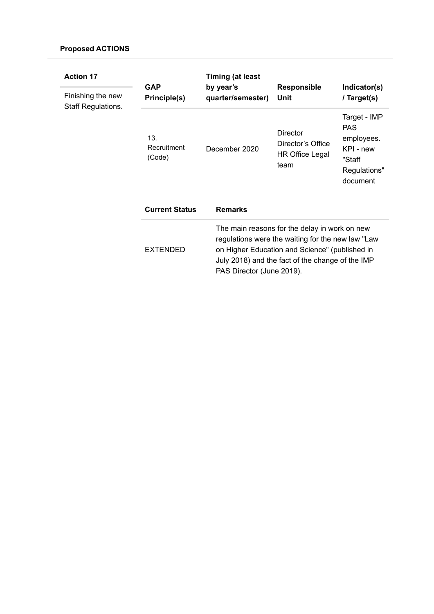| <b>Action 17</b><br>Finishing the new<br><b>Staff Regulations.</b> | <b>GAP</b><br>Principle(s)   | <b>Timing (at least</b>                                                                                                                                                                                                               |                                                                        |                                                                                             |
|--------------------------------------------------------------------|------------------------------|---------------------------------------------------------------------------------------------------------------------------------------------------------------------------------------------------------------------------------------|------------------------------------------------------------------------|---------------------------------------------------------------------------------------------|
|                                                                    |                              | by year's<br>quarter/semester)                                                                                                                                                                                                        | <b>Responsible</b><br>Unit                                             | Indicator(s)<br>/ Target(s)                                                                 |
|                                                                    | 13.<br>Recruitment<br>(Code) | December 2020                                                                                                                                                                                                                         | <b>Director</b><br>Director's Office<br><b>HR Office Legal</b><br>team | Target - IMP<br><b>PAS</b><br>employees.<br>KPI - new<br>"Staff<br>Regulations"<br>document |
|                                                                    | <b>Current Status</b>        | <b>Remarks</b>                                                                                                                                                                                                                        |                                                                        |                                                                                             |
|                                                                    | <b>EXTENDED</b>              | The main reasons for the delay in work on new<br>regulations were the waiting for the new law "Law<br>on Higher Education and Science" (published in<br>July 2018) and the fact of the change of the IMP<br>PAS Director (June 2019). |                                                                        |                                                                                             |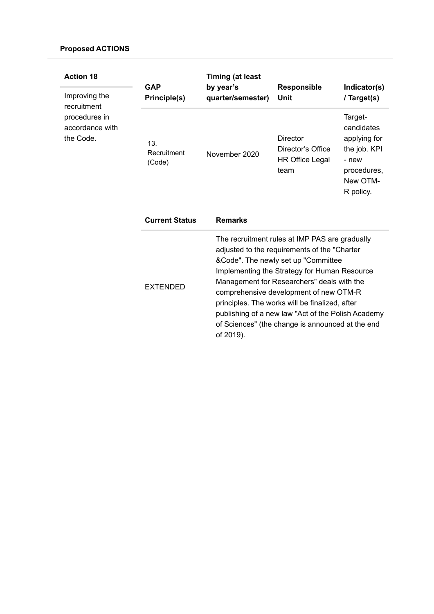| <b>Action 18</b><br>Improving the<br>recruitment<br>procedures in<br>accordance with<br>the Code. | <b>GAP</b><br>Principle(s)   | <b>Timing (at least</b><br>by year's<br>quarter/semester)                                                                                                                                                                                                                                                                                                                                                                                 | <b>Responsible</b><br>Unit                                             | Indicator(s)<br>/ Target(s)                                                                            |
|---------------------------------------------------------------------------------------------------|------------------------------|-------------------------------------------------------------------------------------------------------------------------------------------------------------------------------------------------------------------------------------------------------------------------------------------------------------------------------------------------------------------------------------------------------------------------------------------|------------------------------------------------------------------------|--------------------------------------------------------------------------------------------------------|
|                                                                                                   | 13.<br>Recruitment<br>(Code) | November 2020                                                                                                                                                                                                                                                                                                                                                                                                                             | <b>Director</b><br>Director's Office<br><b>HR Office Legal</b><br>team | Target-<br>candidates<br>applying for<br>the job. KPI<br>- new<br>procedures,<br>New OTM-<br>R policy. |
|                                                                                                   | <b>Current Status</b>        | <b>Remarks</b>                                                                                                                                                                                                                                                                                                                                                                                                                            |                                                                        |                                                                                                        |
|                                                                                                   | <b>EXTENDED</b>              | The recruitment rules at IMP PAS are gradually<br>adjusted to the requirements of the "Charter<br>&Code". The newly set up "Committee<br>Implementing the Strategy for Human Resource<br>Management for Researchers" deals with the<br>comprehensive development of new OTM-R<br>principles. The works will be finalized, after<br>publishing of a new law "Act of the Polish Academy<br>of Sciences" (the change is announced at the end |                                                                        |                                                                                                        |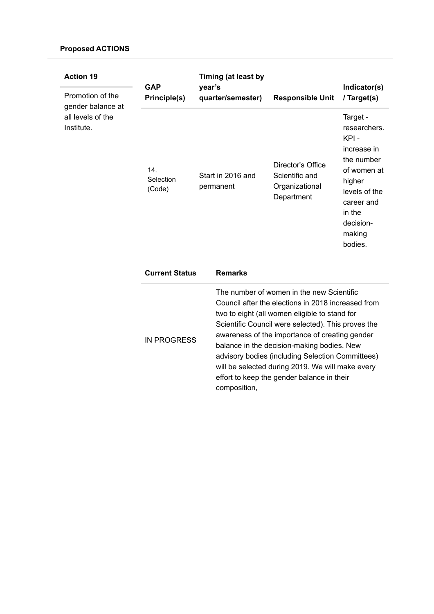| <b>Action 19</b>                                                         | <b>GAP</b>                                 | Timing (at least by<br>year's                       |                                                                                                                                                                                                                                                                                                                                                                                                                                                              | Indicator(s)                                                                                                                                                                     |
|--------------------------------------------------------------------------|--------------------------------------------|-----------------------------------------------------|--------------------------------------------------------------------------------------------------------------------------------------------------------------------------------------------------------------------------------------------------------------------------------------------------------------------------------------------------------------------------------------------------------------------------------------------------------------|----------------------------------------------------------------------------------------------------------------------------------------------------------------------------------|
| Promotion of the<br>gender balance at<br>all levels of the<br>Institute. | Principle(s)<br>14.<br>Selection<br>(Code) | quarter/semester)<br>Start in 2016 and<br>permanent | <b>Responsible Unit</b><br>Director's Office<br>Scientific and<br>Organizational<br>Department                                                                                                                                                                                                                                                                                                                                                               | / Target(s)<br>Target -<br>researchers.<br>KPI-<br>increase in<br>the number<br>of women at<br>higher<br>levels of the<br>career and<br>in the<br>decision-<br>making<br>bodies. |
|                                                                          | <b>Current Status</b>                      | <b>Remarks</b>                                      |                                                                                                                                                                                                                                                                                                                                                                                                                                                              |                                                                                                                                                                                  |
|                                                                          | <b>IN PROGRESS</b>                         | composition,                                        | The number of women in the new Scientific<br>Council after the elections in 2018 increased from<br>two to eight (all women eligible to stand for<br>Scientific Council were selected). This proves the<br>awareness of the importance of creating gender<br>balance in the decision-making bodies. New<br>advisory bodies (including Selection Committees)<br>will be selected during 2019. We will make every<br>effort to keep the gender balance in their |                                                                                                                                                                                  |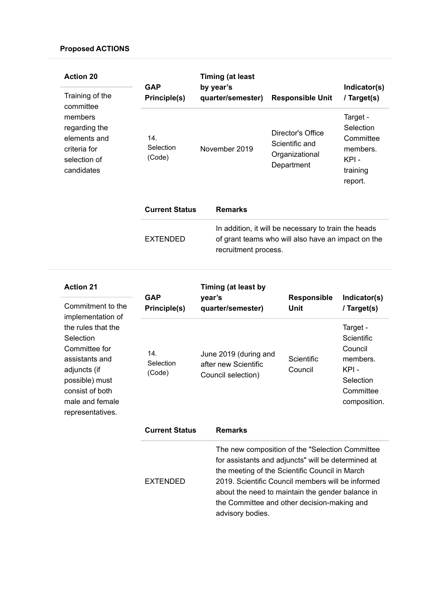| <b>Action 20</b><br>Training of the<br>committee<br>members<br>regarding the<br>elements and<br>criteria for<br>selection of<br>candidates | <b>GAP</b><br>Principle(s) | <b>Timing (at least</b><br>by year's<br>quarter/semester) | <b>Responsible Unit</b>                                                                                                            | Indicator(s)<br>/ Target(s)                                                   |
|--------------------------------------------------------------------------------------------------------------------------------------------|----------------------------|-----------------------------------------------------------|------------------------------------------------------------------------------------------------------------------------------------|-------------------------------------------------------------------------------|
|                                                                                                                                            | 14.<br>Selection<br>(Code) | November 2019                                             | Director's Office<br>Scientific and<br>Organizational<br>Department                                                                | Target -<br>Selection<br>Committee<br>members.<br>KPI-<br>training<br>report. |
|                                                                                                                                            | <b>Current Status</b>      | <b>Remarks</b>                                            |                                                                                                                                    |                                                                               |
|                                                                                                                                            | <b>EXTENDED</b>            |                                                           | In addition, it will be necessary to train the heads<br>of grant teams who will also have an impact on the<br>recruitment process. |                                                                               |

| <b>Action 21</b>                                                                                                                                                                                         | <b>GAP</b>                 | Timing (at least by                                                 |                                                                                                                                                                                                                                                                                                                 |                                                                                                 |
|----------------------------------------------------------------------------------------------------------------------------------------------------------------------------------------------------------|----------------------------|---------------------------------------------------------------------|-----------------------------------------------------------------------------------------------------------------------------------------------------------------------------------------------------------------------------------------------------------------------------------------------------------------|-------------------------------------------------------------------------------------------------|
| Commitment to the<br>implementation of<br>the rules that the<br>Selection<br>Committee for<br>assistants and<br>adjuncts (if<br>possible) must<br>consist of both<br>male and female<br>representatives. | Principle(s)               | year's<br>quarter/semester)                                         | <b>Responsible</b><br>Unit                                                                                                                                                                                                                                                                                      | Indicator(s)<br>/ Target(s)                                                                     |
|                                                                                                                                                                                                          | 14.<br>Selection<br>(Code) | June 2019 (during and<br>after new Scientific<br>Council selection) | Scientific<br>Council                                                                                                                                                                                                                                                                                           | Target -<br>Scientific<br>Council<br>members.<br>KPI-<br>Selection<br>Committee<br>composition. |
|                                                                                                                                                                                                          | <b>Current Status</b>      | <b>Remarks</b>                                                      |                                                                                                                                                                                                                                                                                                                 |                                                                                                 |
|                                                                                                                                                                                                          | <b>EXTENDED</b>            |                                                                     | The new composition of the "Selection Committee<br>for assistants and adjuncts" will be determined at<br>the meeting of the Scientific Council in March<br>2019. Scientific Council members will be informed<br>about the need to maintain the gender balance in<br>the Committee and other decision-making and |                                                                                                 |

advisory bodies.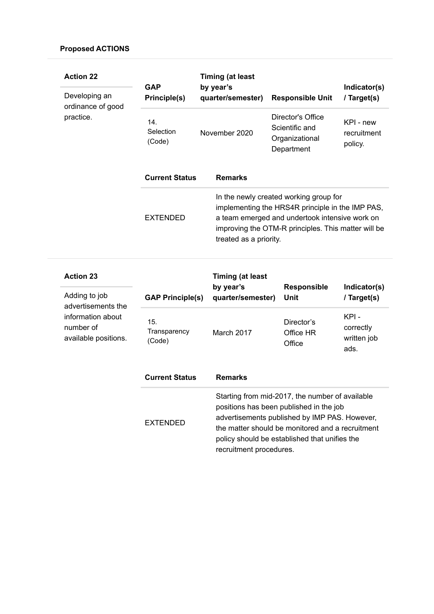| <b>Action 22</b><br>Developing an<br>ordinance of good                       | <b>GAP</b><br>Principle(s)    | <b>Timing (at least</b><br>by year's<br>quarter/semester) | <b>Responsible Unit</b>                                                                                                                                                                                                                          | Indicator(s)<br>/ Target(s)              |
|------------------------------------------------------------------------------|-------------------------------|-----------------------------------------------------------|--------------------------------------------------------------------------------------------------------------------------------------------------------------------------------------------------------------------------------------------------|------------------------------------------|
| practice.                                                                    | 14.<br>Selection<br>(Code)    | November 2020                                             | Director's Office<br>Scientific and<br>Organizational<br>Department                                                                                                                                                                              | KPI - new<br>recruitment<br>policy.      |
|                                                                              | <b>Current Status</b>         | <b>Remarks</b>                                            |                                                                                                                                                                                                                                                  |                                          |
|                                                                              | <b>EXTENDED</b>               | treated as a priority.                                    | In the newly created working group for<br>implementing the HRS4R principle in the IMP PAS,<br>a team emerged and undertook intensive work on<br>improving the OTM-R principles. This matter will be                                              |                                          |
| <b>Action 23</b>                                                             |                               | <b>Timing (at least</b>                                   |                                                                                                                                                                                                                                                  |                                          |
| Adding to job                                                                | <b>GAP Principle(s)</b>       | by year's<br>quarter/semester)                            | Responsible<br><b>Unit</b>                                                                                                                                                                                                                       | Indicator(s)<br>/ Target(s)              |
| advertisements the<br>information about<br>number of<br>available positions. | 15.<br>Transparency<br>(Code) | March 2017                                                | Director's<br>Office HR<br>Office                                                                                                                                                                                                                | KPI-<br>correctly<br>written job<br>ads. |
|                                                                              | <b>Current Status</b>         | <b>Remarks</b>                                            |                                                                                                                                                                                                                                                  |                                          |
|                                                                              | <b>EXTENDED</b>               |                                                           | Starting from mid-2017, the number of available<br>positions has been published in the job<br>advertisements published by IMP PAS. However,<br>the matter should be monitored and a recruitment<br>policy should be established that unifies the |                                          |

recruitment procedures.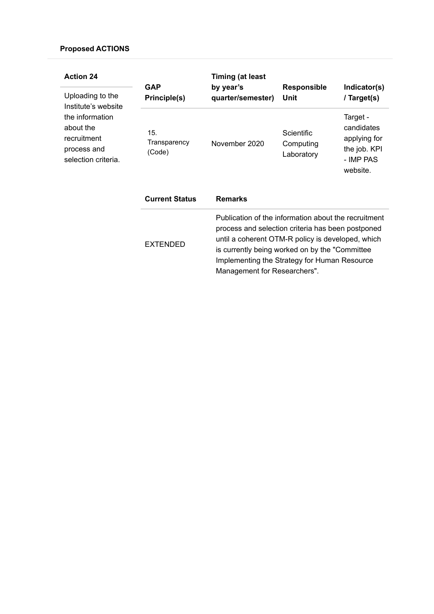| <b>Action 24</b>                                                                  | <b>GAP</b>                    | <b>Timing (at least</b><br>by year's                                                                                                                                                                                                                                                             | <b>Responsible</b>                    | Indicator(s)                                                                    |
|-----------------------------------------------------------------------------------|-------------------------------|--------------------------------------------------------------------------------------------------------------------------------------------------------------------------------------------------------------------------------------------------------------------------------------------------|---------------------------------------|---------------------------------------------------------------------------------|
| Uploading to the<br>Institute's website                                           | Principle(s)                  | quarter/semester)                                                                                                                                                                                                                                                                                | Unit                                  | / Target(s)                                                                     |
| the information<br>about the<br>recruitment<br>process and<br>selection criteria. | 15.<br>Transparency<br>(Code) | November 2020                                                                                                                                                                                                                                                                                    | Scientific<br>Computing<br>Laboratory | Target -<br>candidates<br>applying for<br>the job. KPI<br>- IMP PAS<br>website. |
|                                                                                   | <b>Current Status</b>         | <b>Remarks</b>                                                                                                                                                                                                                                                                                   |                                       |                                                                                 |
|                                                                                   | <b>EXTENDED</b>               | Publication of the information about the recruitment<br>process and selection criteria has been postponed<br>until a coherent OTM-R policy is developed, which<br>is currently being worked on by the "Committee<br>Implementing the Strategy for Human Resource<br>Management for Researchers". |                                       |                                                                                 |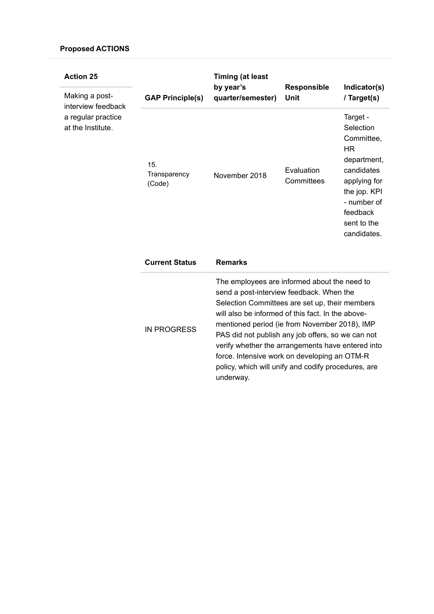| <b>Action 25</b><br>Making a post-<br>interview feedback<br>a regular practice<br>at the Institute. | <b>GAP Principle(s)</b>       | <b>Timing (at least</b><br>by year's<br>quarter/semester)                                                                                                                                                                                                                                                                                                                                                                                                                      | <b>Responsible</b><br><b>Unit</b> | Indicator(s)<br>/ Target(s)                                                                                                                                            |
|-----------------------------------------------------------------------------------------------------|-------------------------------|--------------------------------------------------------------------------------------------------------------------------------------------------------------------------------------------------------------------------------------------------------------------------------------------------------------------------------------------------------------------------------------------------------------------------------------------------------------------------------|-----------------------------------|------------------------------------------------------------------------------------------------------------------------------------------------------------------------|
|                                                                                                     | 15.<br>Transparency<br>(Code) | November 2018                                                                                                                                                                                                                                                                                                                                                                                                                                                                  | Evaluation<br>Committees          | Target -<br>Selection<br>Committee,<br><b>HR</b><br>department,<br>candidates<br>applying for<br>the jop. KPI<br>- number of<br>feedback<br>sent to the<br>candidates. |
|                                                                                                     | <b>Current Status</b>         | <b>Remarks</b>                                                                                                                                                                                                                                                                                                                                                                                                                                                                 |                                   |                                                                                                                                                                        |
|                                                                                                     | <b>IN PROGRESS</b>            | The employees are informed about the need to<br>send a post-interview feedback. When the<br>Selection Committees are set up, their members<br>will also be informed of this fact. In the above-<br>mentioned period (ie from November 2018), IMP<br>PAS did not publish any job offers, so we can not<br>verify whether the arrangements have entered into<br>force. Intensive work on developing an OTM-R<br>policy, which will unify and codify procedures, are<br>underway. |                                   |                                                                                                                                                                        |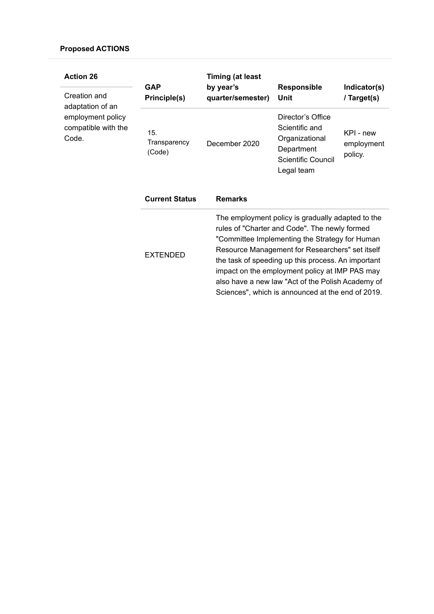| <b>Action 26</b><br>Creation and<br>adaptation of an<br>employment policy<br>compatible with the<br>Code. | <b>GAP</b><br>Principle(s)    | <b>Timing (at least</b><br>by year's<br>quarter/semester)                                                                                                                                                                                                                                                                                                                                                                 | <b>Responsible</b><br>Unit                                                                              | Indicator(s)<br>/ Target(s)        |
|-----------------------------------------------------------------------------------------------------------|-------------------------------|---------------------------------------------------------------------------------------------------------------------------------------------------------------------------------------------------------------------------------------------------------------------------------------------------------------------------------------------------------------------------------------------------------------------------|---------------------------------------------------------------------------------------------------------|------------------------------------|
|                                                                                                           | 15.<br>Transparency<br>(Code) | December 2020                                                                                                                                                                                                                                                                                                                                                                                                             | Director's Office<br>Scientific and<br>Organizational<br>Department<br>Scientific Council<br>Legal team | KPI - new<br>employment<br>policy. |
|                                                                                                           | <b>Current Status</b>         | <b>Remarks</b>                                                                                                                                                                                                                                                                                                                                                                                                            |                                                                                                         |                                    |
|                                                                                                           | <b>EXTENDED</b>               | The employment policy is gradually adapted to the<br>rules of "Charter and Code". The newly formed<br>"Committee Implementing the Strategy for Human<br>Resource Management for Researchers" set itself<br>the task of speeding up this process. An important<br>impact on the employment policy at IMP PAS may<br>also have a new law "Act of the Polish Academy of<br>Sciences", which is announced at the end of 2019. |                                                                                                         |                                    |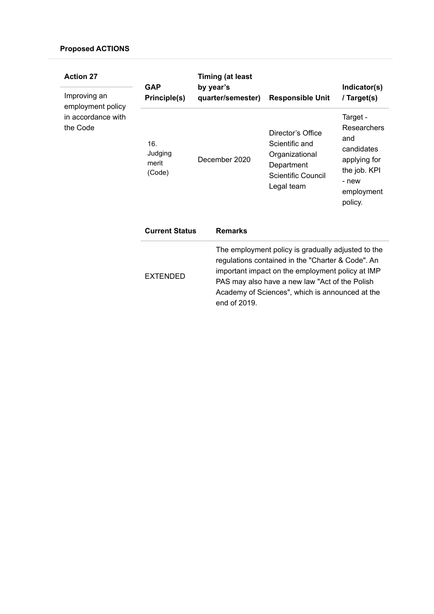| <b>Action 27</b>                                                    | <b>GAP</b>                        | <b>Timing (at least</b><br>by year's |                                                                                                                                                                                                                                                                                  |                                                                                                         | Indicator(s)                                                                                                   |
|---------------------------------------------------------------------|-----------------------------------|--------------------------------------|----------------------------------------------------------------------------------------------------------------------------------------------------------------------------------------------------------------------------------------------------------------------------------|---------------------------------------------------------------------------------------------------------|----------------------------------------------------------------------------------------------------------------|
| Improving an<br>employment policy<br>in accordance with<br>the Code | Principle(s)                      |                                      | quarter/semester)                                                                                                                                                                                                                                                                | <b>Responsible Unit</b>                                                                                 | / Target(s)                                                                                                    |
|                                                                     | 16.<br>Judging<br>merit<br>(Code) |                                      | December 2020                                                                                                                                                                                                                                                                    | Director's Office<br>Scientific and<br>Organizational<br>Department<br>Scientific Council<br>Legal team | Target -<br>Researchers<br>and<br>candidates<br>applying for<br>the job. KPI<br>- new<br>employment<br>policy. |
|                                                                     | <b>Current Status</b>             |                                      | <b>Remarks</b>                                                                                                                                                                                                                                                                   |                                                                                                         |                                                                                                                |
|                                                                     | <b>EXTENDED</b>                   |                                      | The employment policy is gradually adjusted to the<br>regulations contained in the "Charter & Code". An<br>important impact on the employment policy at IMP<br>PAS may also have a new law "Act of the Polish<br>Academy of Sciences", which is announced at the<br>end of 2019. |                                                                                                         |                                                                                                                |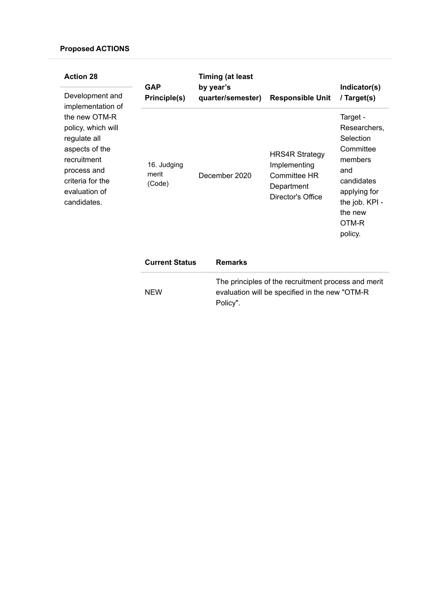| <b>Action 28</b>                                                                                                                                        | <b>GAP</b>                     | Timing (at least<br>by year's |                                                                                                 | Indicator(s)                                                                                                                                        |
|---------------------------------------------------------------------------------------------------------------------------------------------------------|--------------------------------|-------------------------------|-------------------------------------------------------------------------------------------------|-----------------------------------------------------------------------------------------------------------------------------------------------------|
| Development and<br>implementation of                                                                                                                    | Principle(s)                   | quarter/semester)             | <b>Responsible Unit</b>                                                                         | / Target(s)                                                                                                                                         |
| the new OTM-R<br>policy, which will<br>regulate all<br>aspects of the<br>recruitment<br>process and<br>criteria for the<br>evaluation of<br>candidates. | 16. Judging<br>merit<br>(Code) | December 2020                 | <b>HRS4R Strategy</b><br>Implementing<br><b>Committee HR</b><br>Department<br>Director's Office | Target -<br>Researchers,<br>Selection<br>Committee<br>members<br>and<br>candidates<br>applying for<br>the job. KPI -<br>the new<br>OTM-R<br>policy. |
|                                                                                                                                                         | $P_{\text{t}}$                 | $D - 1$                       |                                                                                                 |                                                                                                                                                     |

| <b>Current Status</b> | <b>Remarks</b>                                                                                                    |
|-----------------------|-------------------------------------------------------------------------------------------------------------------|
| <b>NEW</b>            | The principles of the recruitment process and merit<br>evaluation will be specified in the new "OTM-R<br>Policy". |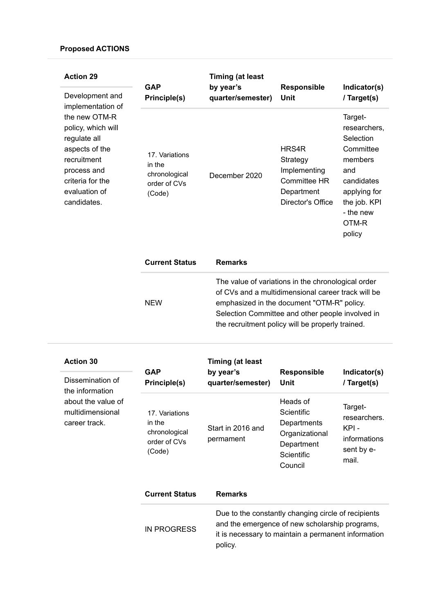| <b>Action 29</b><br>Development and                                                                                                                                          | <b>GAP</b><br><b>Principle(s)</b>                                   | <b>Timing (at least</b><br>by year's<br>quarter/semester) | <b>Responsible</b><br>Unit                                                                                                                                                                                                                                     | Indicator(s)<br>/ Target(s)                                                                                                                       |
|------------------------------------------------------------------------------------------------------------------------------------------------------------------------------|---------------------------------------------------------------------|-----------------------------------------------------------|----------------------------------------------------------------------------------------------------------------------------------------------------------------------------------------------------------------------------------------------------------------|---------------------------------------------------------------------------------------------------------------------------------------------------|
| implementation of<br>the new OTM-R<br>policy, which will<br>regulate all<br>aspects of the<br>recruitment<br>process and<br>criteria for the<br>evaluation of<br>candidates. | 17. Variations<br>in the<br>chronological<br>order of CVs<br>(Code) | December 2020                                             | HRS4R<br>Strategy<br>Implementing<br><b>Committee HR</b><br>Department<br>Director's Office                                                                                                                                                                    | Target-<br>researchers,<br>Selection<br>Committee<br>members<br>and<br>candidates<br>applying for<br>the job. KPI<br>- the new<br>OTM-R<br>policy |
|                                                                                                                                                                              | <b>Current Status</b>                                               | <b>Remarks</b>                                            |                                                                                                                                                                                                                                                                |                                                                                                                                                   |
|                                                                                                                                                                              | <b>NEW</b>                                                          |                                                           | The value of variations in the chronological order<br>of CVs and a multidimensional career track will be<br>emphasized in the document "OTM-R" policy.<br>Selection Committee and other people involved in<br>the recruitment policy will be properly trained. |                                                                                                                                                   |
| <b>Action 30</b>                                                                                                                                                             |                                                                     | <b>Timing (at least</b>                                   |                                                                                                                                                                                                                                                                |                                                                                                                                                   |
| Dissemination of                                                                                                                                                             | <b>GAP</b><br>Dirichrich(c)                                         | by year's<br>auartor/comoctor)                            | <b>Responsible</b><br>l Init                                                                                                                                                                                                                                   | Indicator(s)<br>$1$ Tarant $\left($ c)                                                                                                            |

| Dissemination of   |
|--------------------|
| the information    |
| about the value of |
| multidimensional   |
| career track.      |

| GAP<br>Principle(s)                                                 | by vear's<br>quarter/semester)                                                                                                                                                 | <b>Responsible</b><br>Unit | Indicator(s)<br>/ Target(s)                                             |  |
|---------------------------------------------------------------------|--------------------------------------------------------------------------------------------------------------------------------------------------------------------------------|----------------------------|-------------------------------------------------------------------------|--|
| 17. Variations<br>in the<br>chronological<br>order of CVs<br>(Code) | Start in 2016 and<br>permament                                                                                                                                                 |                            | Target-<br>researchers.<br>KPI -<br>informations<br>sent by e-<br>mail. |  |
| <b>Current Status</b>                                               | <b>Remarks</b>                                                                                                                                                                 |                            |                                                                         |  |
| <b>IN PROGRESS</b>                                                  | Due to the constantly changing circle of recipients<br>and the emergence of new scholarship programs,<br>ti to a conservativamente as chairdar a a casa casa calibrata as catr |                            |                                                                         |  |

it is necessary to maintain a permanent information policy.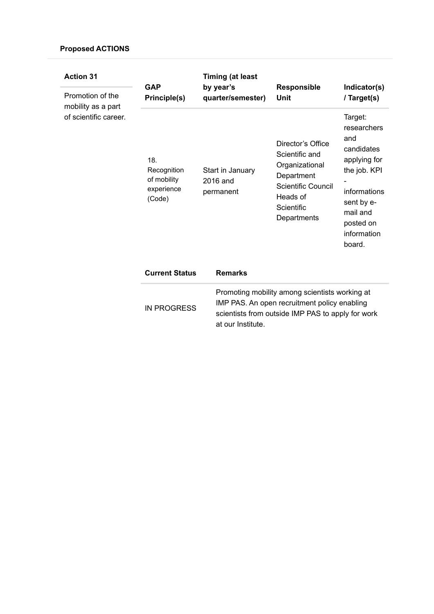| <b>Action 31</b><br>Promotion of the<br>mobility as a part<br>of scientific career. | <b>GAP</b><br>Principle(s)                                | <b>Timing (at least</b><br>by year's<br>quarter/semester)                                                                                                                | <b>Responsible</b><br>Unit                                                                                                                | Indicator(s)<br>/ Target(s)                                                                                                                                 |
|-------------------------------------------------------------------------------------|-----------------------------------------------------------|--------------------------------------------------------------------------------------------------------------------------------------------------------------------------|-------------------------------------------------------------------------------------------------------------------------------------------|-------------------------------------------------------------------------------------------------------------------------------------------------------------|
|                                                                                     | 18.<br>Recognition<br>of mobility<br>experience<br>(Code) | Start in January<br>2016 and<br>permanent                                                                                                                                | Director's Office<br>Scientific and<br>Organizational<br>Department<br><b>Scientific Council</b><br>Heads of<br>Scientific<br>Departments | Target:<br>researchers<br>and<br>candidates<br>applying for<br>the job. KPI<br>informations<br>sent by e-<br>mail and<br>posted on<br>information<br>board. |
|                                                                                     | <b>Current Status</b>                                     | <b>Remarks</b>                                                                                                                                                           |                                                                                                                                           |                                                                                                                                                             |
|                                                                                     | <b>IN PROGRESS</b>                                        | Promoting mobility among scientists working at<br>IMP PAS. An open recruitment policy enabling<br>scientists from outside IMP PAS to apply for work<br>at our Institute. |                                                                                                                                           |                                                                                                                                                             |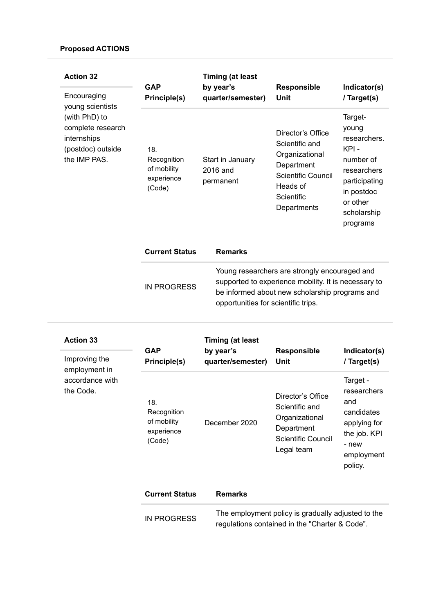| <b>Action 32</b>                                                                                                          | <b>GAP</b><br>Principle(s)                                | <b>Timing (at least</b>                   |                                                                                                                                                                                                |                                                                                                                                             |
|---------------------------------------------------------------------------------------------------------------------------|-----------------------------------------------------------|-------------------------------------------|------------------------------------------------------------------------------------------------------------------------------------------------------------------------------------------------|---------------------------------------------------------------------------------------------------------------------------------------------|
| Encouraging<br>young scientists<br>(with PhD) to<br>complete research<br>internships<br>(postdoc) outside<br>the IMP PAS. |                                                           | by year's<br>quarter/semester)            | <b>Responsible</b><br>Unit                                                                                                                                                                     | Indicator(s)<br>/ Target(s)                                                                                                                 |
|                                                                                                                           | 18.<br>Recognition<br>of mobility<br>experience<br>(Code) | Start in January<br>2016 and<br>permanent | Director's Office<br>Scientific and<br>Organizational<br>Department<br>Scientific Council<br>Heads of<br>Scientific<br>Departments                                                             | Target-<br>young<br>researchers.<br>KPI -<br>number of<br>researchers<br>participating<br>in postdoc<br>or other<br>scholarship<br>programs |
|                                                                                                                           | <b>Current Status</b>                                     | <b>Remarks</b>                            |                                                                                                                                                                                                |                                                                                                                                             |
|                                                                                                                           | <b>IN PROGRESS</b>                                        |                                           | Young researchers are strongly encouraged and<br>supported to experience mobility. It is necessary to<br>be informed about new scholarship programs and<br>opportunities for scientific trips. |                                                                                                                                             |

| <b>Action 33</b><br>Improving the<br>employment in | <b>GAP</b><br>Principle(s)                                | <b>Timing (at least</b><br>by year's<br>quarter/semester) | <b>Responsible</b><br>Unit                                                                              | Indicator(s)<br>/ Target(s)                                                                                    |
|----------------------------------------------------|-----------------------------------------------------------|-----------------------------------------------------------|---------------------------------------------------------------------------------------------------------|----------------------------------------------------------------------------------------------------------------|
| accordance with<br>the Code.                       | 18.<br>Recognition<br>of mobility<br>experience<br>(Code) | December 2020                                             | Director's Office<br>Scientific and<br>Organizational<br>Department<br>Scientific Council<br>Legal team | Target -<br>researchers<br>and<br>candidates<br>applying for<br>the job. KPI<br>- new<br>employment<br>policy. |
|                                                    | <b>Current Status</b>                                     | <b>Remarks</b>                                            |                                                                                                         |                                                                                                                |

The employment policy is gradually adjusted to the regulations contained in the "Charter & Code". IN PROGRESS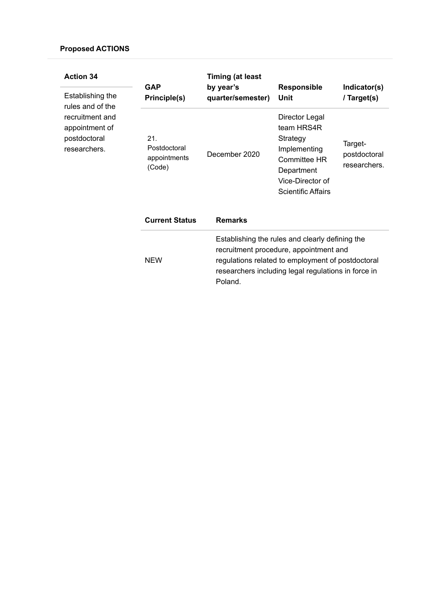| <b>Action 34</b>                                                                      | <b>GAP</b>                                    | <b>Timing (at least</b><br>by year's                                                                                                                                                                             | <b>Responsible</b>                                                                                                                      | Indicator(s)                            |
|---------------------------------------------------------------------------------------|-----------------------------------------------|------------------------------------------------------------------------------------------------------------------------------------------------------------------------------------------------------------------|-----------------------------------------------------------------------------------------------------------------------------------------|-----------------------------------------|
| Establishing the                                                                      | Principle(s)                                  | quarter/semester)                                                                                                                                                                                                | Unit                                                                                                                                    | / Target(s)                             |
| rules and of the<br>recruitment and<br>appointment of<br>postdoctoral<br>researchers. | 21.<br>Postdoctoral<br>appointments<br>(Code) | December 2020                                                                                                                                                                                                    | Director Legal<br>team HRS4R<br>Strategy<br>Implementing<br>Committee HR<br>Department<br>Vice-Director of<br><b>Scientific Affairs</b> | Target-<br>postdoctoral<br>researchers. |
|                                                                                       | <b>Current Status</b>                         | <b>Remarks</b>                                                                                                                                                                                                   |                                                                                                                                         |                                         |
|                                                                                       | <b>NEW</b>                                    | Establishing the rules and clearly defining the<br>recruitment procedure, appointment and<br>regulations related to employment of postdoctoral<br>researchers including legal regulations in force in<br>Poland. |                                                                                                                                         |                                         |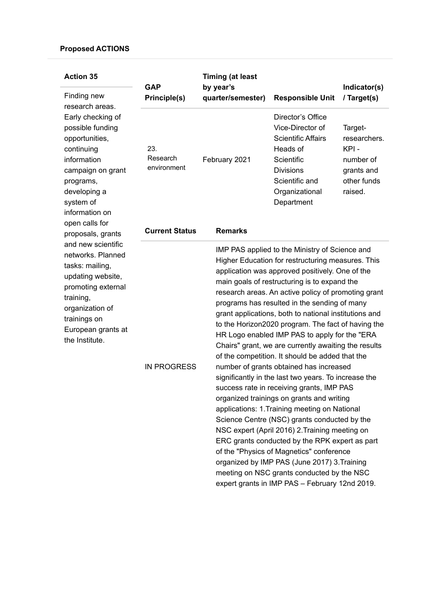| <b>Action 35</b><br>Finding new<br>research areas.<br>Early checking of<br>possible funding<br>opportunities,<br>continuing<br>information<br>campaign on grant<br>programs,<br>developing a<br>system of<br>information on<br>open calls for | <b>GAP</b><br>Principle(s)                              | <b>Timing (at least</b><br>by year's<br>quarter/semester)                                                                                                                                                                                                                                                                                                                                                                                                                                                                                                                                                                                                                                                                                                                                                                                                                                                                                                                                                                                                                                                                                                                              | <b>Responsible Unit</b>                                                                                                                                            | Indicator(s)<br>/ Target(s)                                                          |
|-----------------------------------------------------------------------------------------------------------------------------------------------------------------------------------------------------------------------------------------------|---------------------------------------------------------|----------------------------------------------------------------------------------------------------------------------------------------------------------------------------------------------------------------------------------------------------------------------------------------------------------------------------------------------------------------------------------------------------------------------------------------------------------------------------------------------------------------------------------------------------------------------------------------------------------------------------------------------------------------------------------------------------------------------------------------------------------------------------------------------------------------------------------------------------------------------------------------------------------------------------------------------------------------------------------------------------------------------------------------------------------------------------------------------------------------------------------------------------------------------------------------|--------------------------------------------------------------------------------------------------------------------------------------------------------------------|--------------------------------------------------------------------------------------|
|                                                                                                                                                                                                                                               | 23.<br>Research<br>environment<br><b>Current Status</b> | February 2021<br><b>Remarks</b>                                                                                                                                                                                                                                                                                                                                                                                                                                                                                                                                                                                                                                                                                                                                                                                                                                                                                                                                                                                                                                                                                                                                                        | Director's Office<br>Vice-Director of<br><b>Scientific Affairs</b><br>Heads of<br>Scientific<br><b>Divisions</b><br>Scientific and<br>Organizational<br>Department | Target-<br>researchers.<br>KPI-<br>number of<br>grants and<br>other funds<br>raised. |
| proposals, grants                                                                                                                                                                                                                             |                                                         |                                                                                                                                                                                                                                                                                                                                                                                                                                                                                                                                                                                                                                                                                                                                                                                                                                                                                                                                                                                                                                                                                                                                                                                        |                                                                                                                                                                    |                                                                                      |
| and new scientific<br>networks. Planned<br>tasks: mailing,<br>updating website,<br>promoting external<br>training,<br>organization of<br>trainings on<br>European grants at<br>the Institute.                                                 | <b>IN PROGRESS</b>                                      | IMP PAS applied to the Ministry of Science and<br>Higher Education for restructuring measures. This<br>application was approved positively. One of the<br>main goals of restructuring is to expand the<br>research areas. An active policy of promoting grant<br>programs has resulted in the sending of many<br>grant applications, both to national institutions and<br>to the Horizon2020 program. The fact of having the<br>HR Logo enabled IMP PAS to apply for the "ERA<br>Chairs" grant, we are currently awaiting the results<br>of the competition. It should be added that the<br>number of grants obtained has increased<br>significantly in the last two years. To increase the<br>success rate in receiving grants, IMP PAS<br>organized trainings on grants and writing<br>applications: 1. Training meeting on National<br>Science Centre (NSC) grants conducted by the<br>NSC expert (April 2016) 2. Training meeting on<br>ERC grants conducted by the RPK expert as part<br>of the "Physics of Magnetics" conference<br>organized by IMP PAS (June 2017) 3. Training<br>meeting on NSC grants conducted by the NSC<br>expert grants in IMP PAS - February 12nd 2019. |                                                                                                                                                                    |                                                                                      |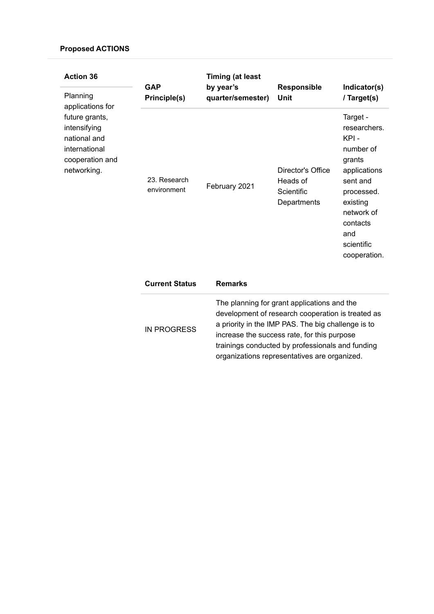| <b>Action 36</b><br>Planning                                                                                          | <b>GAP</b><br>Principle(s)  | <b>Timing (at least</b><br>by year's<br>quarter/semester) | Responsible<br>Unit                                                                                                                                                                                                                                                                                       | Indicator(s)<br>/ Target(s)                                                                                                                                                  |
|-----------------------------------------------------------------------------------------------------------------------|-----------------------------|-----------------------------------------------------------|-----------------------------------------------------------------------------------------------------------------------------------------------------------------------------------------------------------------------------------------------------------------------------------------------------------|------------------------------------------------------------------------------------------------------------------------------------------------------------------------------|
| applications for<br>future grants,<br>intensifying<br>national and<br>international<br>cooperation and<br>networking. | 23. Research<br>environment | February 2021                                             | Director's Office<br>Heads of<br>Scientific<br>Departments                                                                                                                                                                                                                                                | Target -<br>researchers.<br>KPI-<br>number of<br>grants<br>applications<br>sent and<br>processed.<br>existing<br>network of<br>contacts<br>and<br>scientific<br>cooperation. |
|                                                                                                                       | <b>Current Status</b>       | <b>Remarks</b>                                            |                                                                                                                                                                                                                                                                                                           |                                                                                                                                                                              |
|                                                                                                                       | <b>IN PROGRESS</b>          |                                                           | The planning for grant applications and the<br>development of research cooperation is treated as<br>a priority in the IMP PAS. The big challenge is to<br>increase the success rate, for this purpose<br>trainings conducted by professionals and funding<br>organizations representatives are organized. |                                                                                                                                                                              |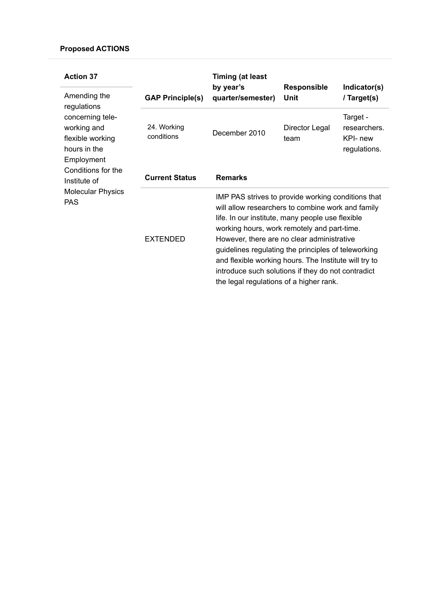| <b>Action 37</b><br>Amending the<br>regulations<br>concerning tele-<br>working and<br>flexible working<br>hours in the<br>Employment |                           | <b>Timing (at least</b><br>by year's                                                                                                                                                                                                                                                                                                                                                                                                                                      | <b>Responsible</b>     | Indicator(s)                                         |
|--------------------------------------------------------------------------------------------------------------------------------------|---------------------------|---------------------------------------------------------------------------------------------------------------------------------------------------------------------------------------------------------------------------------------------------------------------------------------------------------------------------------------------------------------------------------------------------------------------------------------------------------------------------|------------------------|------------------------------------------------------|
|                                                                                                                                      | <b>GAP Principle(s)</b>   | quarter/semester)                                                                                                                                                                                                                                                                                                                                                                                                                                                         | Unit                   | / Target(s)                                          |
|                                                                                                                                      | 24. Working<br>conditions | December 2010                                                                                                                                                                                                                                                                                                                                                                                                                                                             | Director Legal<br>team | Target -<br>researchers.<br>KPI- new<br>regulations. |
| Conditions for the<br>Institute of                                                                                                   | <b>Current Status</b>     | <b>Remarks</b>                                                                                                                                                                                                                                                                                                                                                                                                                                                            |                        |                                                      |
| <b>Molecular Physics</b><br><b>PAS</b>                                                                                               | <b>EXTENDED</b>           | IMP PAS strives to provide working conditions that<br>will allow researchers to combine work and family<br>life. In our institute, many people use flexible<br>working hours, work remotely and part-time.<br>However, there are no clear administrative<br>guidelines regulating the principles of teleworking<br>and flexible working hours. The Institute will try to<br>introduce such solutions if they do not contradict<br>the legal regulations of a higher rank. |                        |                                                      |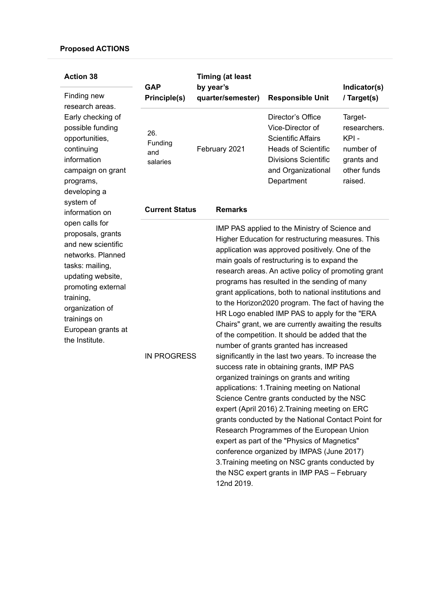| <b>Action 38</b><br>Finding new<br>research areas.<br>Early checking of<br>possible funding<br>opportunities,<br>continuing<br>information<br>campaign on grant<br>programs,<br>developing a<br>system of<br>information on<br>open calls for<br>proposals, grants<br>and new scientific<br>networks. Planned<br>tasks: mailing,<br>updating website,<br>promoting external<br>training,<br>organization of<br>trainings on<br>European grants at<br>the Institute. | <b>GAP</b><br>Principle(s)        | <b>Timing (at least</b><br>by year's<br>quarter/semester) |                                                                                                                                                                                                                                                                                                                                                                                                                                                                                                                                                                                                                                                                                                                                                                                                                                                                                                                                                                                                                                                                                                                                                                                                                                        | <b>Responsible Unit</b>                                                                                                                                             | Indicator(s)<br>/ Target(s)                                                          |
|---------------------------------------------------------------------------------------------------------------------------------------------------------------------------------------------------------------------------------------------------------------------------------------------------------------------------------------------------------------------------------------------------------------------------------------------------------------------|-----------------------------------|-----------------------------------------------------------|----------------------------------------------------------------------------------------------------------------------------------------------------------------------------------------------------------------------------------------------------------------------------------------------------------------------------------------------------------------------------------------------------------------------------------------------------------------------------------------------------------------------------------------------------------------------------------------------------------------------------------------------------------------------------------------------------------------------------------------------------------------------------------------------------------------------------------------------------------------------------------------------------------------------------------------------------------------------------------------------------------------------------------------------------------------------------------------------------------------------------------------------------------------------------------------------------------------------------------------|---------------------------------------------------------------------------------------------------------------------------------------------------------------------|--------------------------------------------------------------------------------------|
|                                                                                                                                                                                                                                                                                                                                                                                                                                                                     | 26.<br>Funding<br>and<br>salaries |                                                           | February 2021                                                                                                                                                                                                                                                                                                                                                                                                                                                                                                                                                                                                                                                                                                                                                                                                                                                                                                                                                                                                                                                                                                                                                                                                                          | Director's Office<br>Vice-Director of<br><b>Scientific Affairs</b><br><b>Heads of Scientific</b><br><b>Divisions Scientific</b><br>and Organizational<br>Department | Target-<br>researchers.<br>KPI-<br>number of<br>grants and<br>other funds<br>raised. |
|                                                                                                                                                                                                                                                                                                                                                                                                                                                                     | <b>Current Status</b>             |                                                           | <b>Remarks</b>                                                                                                                                                                                                                                                                                                                                                                                                                                                                                                                                                                                                                                                                                                                                                                                                                                                                                                                                                                                                                                                                                                                                                                                                                         |                                                                                                                                                                     |                                                                                      |
|                                                                                                                                                                                                                                                                                                                                                                                                                                                                     | <b>IN PROGRESS</b>                |                                                           | IMP PAS applied to the Ministry of Science and<br>Higher Education for restructuring measures. This<br>application was approved positively. One of the<br>main goals of restructuring is to expand the<br>research areas. An active policy of promoting grant<br>programs has resulted in the sending of many<br>grant applications, both to national institutions and<br>to the Horizon2020 program. The fact of having the<br>HR Logo enabled IMP PAS to apply for the "ERA<br>Chairs" grant, we are currently awaiting the results<br>of the competition. It should be added that the<br>number of grants granted has increased<br>significantly in the last two years. To increase the<br>success rate in obtaining grants, IMP PAS<br>organized trainings on grants and writing<br>applications: 1. Training meeting on National<br>Science Centre grants conducted by the NSC<br>expert (April 2016) 2. Training meeting on ERC<br>grants conducted by the National Contact Point for<br>Research Programmes of the European Union<br>expert as part of the "Physics of Magnetics"<br>conference organized by IMPAS (June 2017)<br>3. Training meeting on NSC grants conducted by<br>the NSC expert grants in IMP PAS - February |                                                                                                                                                                     |                                                                                      |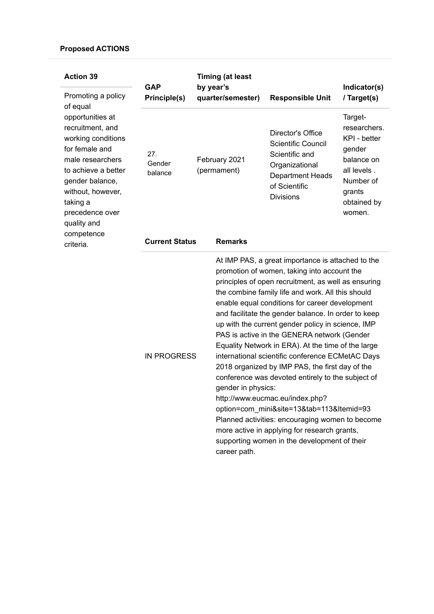| <b>Action 39</b><br>Promoting a policy                                                                                                                                                                                                               | <b>GAP</b><br>Principle(s) | <b>Timing (at least</b><br>by year's<br>quarter/semester) |                                    | <b>Responsible Unit</b>                                                                                                                                                                                                                                                                                                                                                                                                                                                                                                                                                                                                                                                                                                                                                                                                                                                        | Indicator(s)<br>/ Target(s)                                                                                                    |
|------------------------------------------------------------------------------------------------------------------------------------------------------------------------------------------------------------------------------------------------------|----------------------------|-----------------------------------------------------------|------------------------------------|--------------------------------------------------------------------------------------------------------------------------------------------------------------------------------------------------------------------------------------------------------------------------------------------------------------------------------------------------------------------------------------------------------------------------------------------------------------------------------------------------------------------------------------------------------------------------------------------------------------------------------------------------------------------------------------------------------------------------------------------------------------------------------------------------------------------------------------------------------------------------------|--------------------------------------------------------------------------------------------------------------------------------|
| of equal<br>opportunities at<br>recruitment, and<br>working conditions<br>for female and<br>male researchers<br>to achieve a better<br>gender balance,<br>without, however,<br>taking a<br>precedence over<br>quality and<br>competence<br>criteria. | 27.<br>Gender<br>balance   | February 2021<br>(permament)                              |                                    | Director's Office<br><b>Scientific Council</b><br>Scientific and<br>Organizational<br><b>Department Heads</b><br>of Scientific<br><b>Divisions</b>                                                                                                                                                                                                                                                                                                                                                                                                                                                                                                                                                                                                                                                                                                                             | Target-<br>researchers.<br>KPI - better<br>gender<br>balance on<br>all levels.<br>Number of<br>grants<br>obtained by<br>women. |
|                                                                                                                                                                                                                                                      | <b>Current Status</b>      |                                                           | <b>Remarks</b>                     |                                                                                                                                                                                                                                                                                                                                                                                                                                                                                                                                                                                                                                                                                                                                                                                                                                                                                |                                                                                                                                |
|                                                                                                                                                                                                                                                      | <b>IN PROGRESS</b>         |                                                           | gender in physics:<br>career path. | At IMP PAS, a great importance is attached to the<br>promotion of women, taking into account the<br>principles of open recruitment, as well as ensuring<br>the combine family life and work. All this should<br>enable equal conditions for career development<br>and facilitate the gender balance. In order to keep<br>up with the current gender policy in science, IMP<br>PAS is active in the GENERA network (Gender<br>Equality Network in ERA). At the time of the large<br>international scientific conference ECMetAC Days<br>2018 organized by IMP PAS, the first day of the<br>conference was devoted entirely to the subject of<br>http://www.eucmac.eu/index.php?<br>option=com_mini&site=13&tab=113&Itemid=93<br>Planned activities: encouraging women to become<br>more active in applying for research grants,<br>supporting women in the development of their |                                                                                                                                |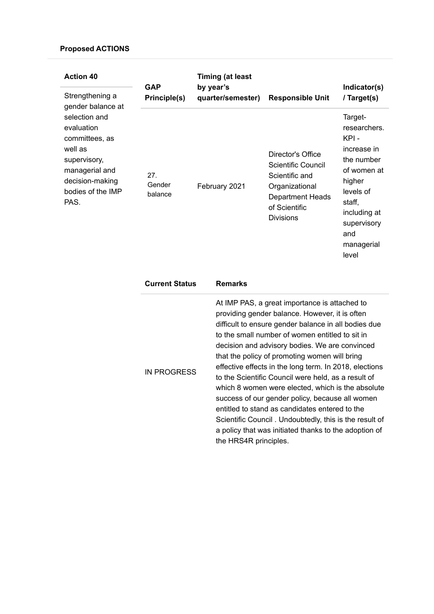| <b>Action 40</b><br>Strengthening a<br>gender balance at<br>selection and<br>evaluation<br>committees, as<br>well as<br>supervisory,<br>managerial and<br>decision-making<br>bodies of the IMP<br>PAS. | <b>GAP</b><br>Principle(s) | by year's | <b>Timing (at least</b><br>quarter/semester) | <b>Responsible Unit</b>                                                                                                                            | Indicator(s)<br>/ Target(s)                                                                                                                                               |
|--------------------------------------------------------------------------------------------------------------------------------------------------------------------------------------------------------|----------------------------|-----------|----------------------------------------------|----------------------------------------------------------------------------------------------------------------------------------------------------|---------------------------------------------------------------------------------------------------------------------------------------------------------------------------|
|                                                                                                                                                                                                        | 27.<br>Gender<br>balance   |           | February 2021                                | Director's Office<br><b>Scientific Council</b><br>Scientific and<br>Organizational<br><b>Department Heads</b><br>of Scientific<br><b>Divisions</b> | Target-<br>researchers.<br>KPI-<br>increase in<br>the number<br>of women at<br>higher<br>levels of<br>staff,<br>including at<br>supervisory<br>and<br>managerial<br>level |
|                                                                                                                                                                                                        | <b>Current Status</b>      |           | <b>Remarks</b>                               |                                                                                                                                                    |                                                                                                                                                                           |
|                                                                                                                                                                                                        |                            |           |                                              | At IMP PAS, a great importance is attached to<br>providing gender balance. However, it is often                                                    |                                                                                                                                                                           |

IN PROGRESS

difficult to ensure gender balance in all bodies due to the small number of women entitled to sit in decision and advisory bodies. We are convinced that the policy of promoting women will bring effective effects in the long term. In 2018, elections to the Scientific Council were held, as a result of which 8 women were elected, which is the absolute success of our gender policy, because all women entitled to stand as candidates entered to the Scientific Council . Undoubtedly, this is the result of a policy that was initiated thanks to the adoption of the HRS4R principles.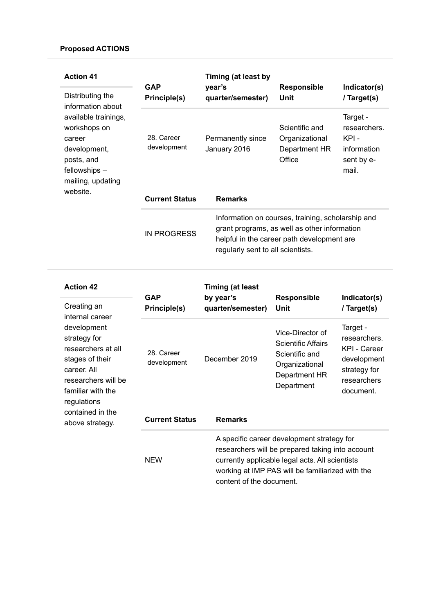| <b>Action 41</b><br>Distributing the<br>information about<br>available trainings,<br>workshops on<br>career<br>development,<br>posts, and<br>fellowships -<br>mailing, updating | <b>GAP</b>                | Timing (at least by<br>year's                                                                                                                                                        | <b>Responsible</b>                                          | Indicator(s)                                                            |  |
|---------------------------------------------------------------------------------------------------------------------------------------------------------------------------------|---------------------------|--------------------------------------------------------------------------------------------------------------------------------------------------------------------------------------|-------------------------------------------------------------|-------------------------------------------------------------------------|--|
|                                                                                                                                                                                 | Principle(s)              | quarter/semester)                                                                                                                                                                    | Unit                                                        | / Target(s)                                                             |  |
|                                                                                                                                                                                 | 28. Career<br>development | Permanently since<br>January 2016                                                                                                                                                    | Scientific and<br>Organizational<br>Department HR<br>Office | Target -<br>researchers.<br>KPI -<br>information<br>sent by e-<br>mail. |  |
| website.                                                                                                                                                                        | <b>Current Status</b>     | <b>Remarks</b>                                                                                                                                                                       |                                                             |                                                                         |  |
|                                                                                                                                                                                 | <b>IN PROGRESS</b>        | Information on courses, training, scholarship and<br>grant programs, as well as other information<br>helpful in the career path development are<br>regularly sent to all scientists. |                                                             |                                                                         |  |

| <b>Action 42</b>                                                                                                                                                                                         | <b>GAP</b>                | <b>Timing (at least</b><br>by year's | <b>Responsible</b>                                                                                                                                                                                                                | Indicator(s)                                                                                               |
|----------------------------------------------------------------------------------------------------------------------------------------------------------------------------------------------------------|---------------------------|--------------------------------------|-----------------------------------------------------------------------------------------------------------------------------------------------------------------------------------------------------------------------------------|------------------------------------------------------------------------------------------------------------|
| Creating an                                                                                                                                                                                              | Principle(s)              | quarter/semester)                    | Unit                                                                                                                                                                                                                              | / Target(s)                                                                                                |
| internal career<br>development<br>strategy for<br>researchers at all<br>stages of their<br>career. All<br>researchers will be<br>familiar with the<br>regulations<br>contained in the<br>above strategy. | 28. Career<br>development | December 2019                        | Vice-Director of<br><b>Scientific Affairs</b><br>Scientific and<br>Organizational<br>Department HR<br>Department                                                                                                                  | Target -<br>researchers.<br><b>KPI - Career</b><br>development<br>strategy for<br>researchers<br>document. |
|                                                                                                                                                                                                          | <b>Current Status</b>     | <b>Remarks</b>                       |                                                                                                                                                                                                                                   |                                                                                                            |
|                                                                                                                                                                                                          | <b>NEW</b>                |                                      | A specific career development strategy for<br>researchers will be prepared taking into account<br>currently applicable legal acts. All scientists<br>working at IMP PAS will be familiarized with the<br>content of the document. |                                                                                                            |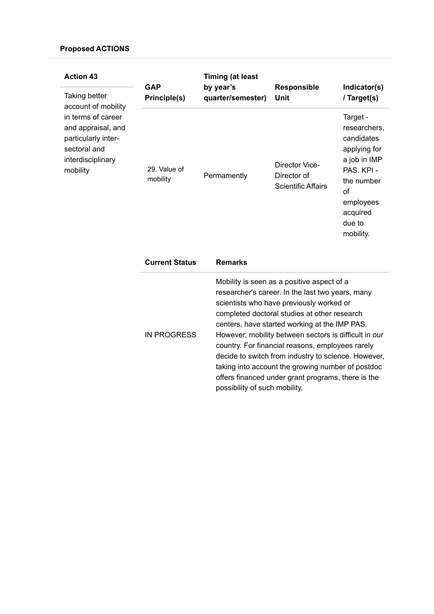| <b>Action 43</b><br>Taking better                                                                                                       | <b>GAP</b><br>Principle(s) | <b>Timing (at least</b><br>by year's<br>quarter/semester)                                                                                                                                                                                                                                                                                                                                                                                                            | <b>Responsible</b><br>Unit                                 | Indicator(s)<br>/ Target(s)                                                                                                                              |
|-----------------------------------------------------------------------------------------------------------------------------------------|----------------------------|----------------------------------------------------------------------------------------------------------------------------------------------------------------------------------------------------------------------------------------------------------------------------------------------------------------------------------------------------------------------------------------------------------------------------------------------------------------------|------------------------------------------------------------|----------------------------------------------------------------------------------------------------------------------------------------------------------|
| account of mobility<br>in terms of career<br>and appraisal, and<br>particularly inter-<br>sectoral and<br>interdisciplinary<br>mobility | 29. Value of<br>mobility   | Permamently                                                                                                                                                                                                                                                                                                                                                                                                                                                          | Director Vice-<br>Director of<br><b>Scientific Affairs</b> | Target -<br>researchers,<br>candidates<br>applying for<br>a job in IMP<br>PAS. KPI -<br>the number<br>of<br>employees<br>acquired<br>due to<br>mobility. |
|                                                                                                                                         | <b>Current Status</b>      | <b>Remarks</b>                                                                                                                                                                                                                                                                                                                                                                                                                                                       |                                                            |                                                                                                                                                          |
|                                                                                                                                         | <b>IN PROGRESS</b>         | Mobility is seen as a positive aspect of a<br>researcher's career. In the last two years, many<br>scientists who have previously worked or<br>completed doctoral studies at other research<br>centers, have started working at the IMP PAS.<br>However, mobility between sectors is difficult in our<br>country. For financial reasons, employees rarely<br>decide to switch from industry to science. However,<br>taking into account the growing number of postdoc |                                                            |                                                                                                                                                          |

offers financed under grant programs, there is the

possibility of such mobility.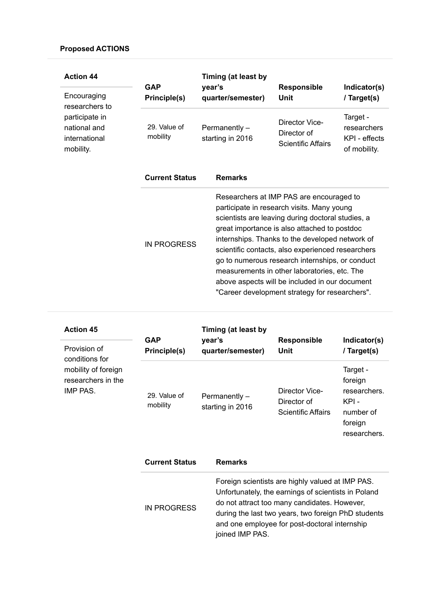| <b>Action 44</b>                                             | <b>GAP</b>               | Timing (at least by<br>year's                                                                                                                                                                                                                                                                                                                                                                                                                                                                              | <b>Responsible</b>                                         | Indicator(s)                                             |
|--------------------------------------------------------------|--------------------------|------------------------------------------------------------------------------------------------------------------------------------------------------------------------------------------------------------------------------------------------------------------------------------------------------------------------------------------------------------------------------------------------------------------------------------------------------------------------------------------------------------|------------------------------------------------------------|----------------------------------------------------------|
| Encouraging<br>researchers to                                | Principle(s)             | quarter/semester)                                                                                                                                                                                                                                                                                                                                                                                                                                                                                          | Unit                                                       | / Target(s)                                              |
| participate in<br>national and<br>international<br>mobility. | 29. Value of<br>mobility | Permanently -<br>starting in 2016                                                                                                                                                                                                                                                                                                                                                                                                                                                                          | Director Vice-<br>Director of<br><b>Scientific Affairs</b> | Target -<br>researchers<br>KPI - effects<br>of mobility. |
|                                                              | <b>Current Status</b>    | <b>Remarks</b>                                                                                                                                                                                                                                                                                                                                                                                                                                                                                             |                                                            |                                                          |
|                                                              | <b>IN PROGRESS</b>       | Researchers at IMP PAS are encouraged to<br>participate in research visits. Many young<br>scientists are leaving during doctoral studies, a<br>great importance is also attached to postdoc<br>internships. Thanks to the developed network of<br>scientific contacts, also experienced researchers<br>go to numerous research internships, or conduct<br>measurements in other laboratories, etc. The<br>above aspects will be included in our document<br>"Career development strategy for researchers". |                                                            |                                                          |

| <b>Action 45</b><br>Provision of<br>conditions for    | <b>GAP</b><br>Principle(s) | Timing (at least by<br>year's<br>quarter/semester) | <b>Responsible</b><br>Unit                                                                                                                                                                                                                                      | Indicator(s)<br>/ Target(s)                                                         |  |
|-------------------------------------------------------|----------------------------|----------------------------------------------------|-----------------------------------------------------------------------------------------------------------------------------------------------------------------------------------------------------------------------------------------------------------------|-------------------------------------------------------------------------------------|--|
| mobility of foreign<br>researchers in the<br>IMP PAS. | 29. Value of<br>mobility   | Permanently -<br>starting in 2016                  | Director Vice-<br>Director of<br><b>Scientific Affairs</b>                                                                                                                                                                                                      | Target -<br>foreign<br>researchers.<br>KPI-<br>number of<br>foreign<br>researchers. |  |
|                                                       | <b>Current Status</b>      | <b>Remarks</b>                                     |                                                                                                                                                                                                                                                                 |                                                                                     |  |
|                                                       | <b>IN PROGRESS</b>         | joined IMP PAS.                                    | Foreign scientists are highly valued at IMP PAS.<br>Unfortunately, the earnings of scientists in Poland<br>do not attract too many candidates. However,<br>during the last two years, two foreign PhD students<br>and one employee for post-doctoral internship |                                                                                     |  |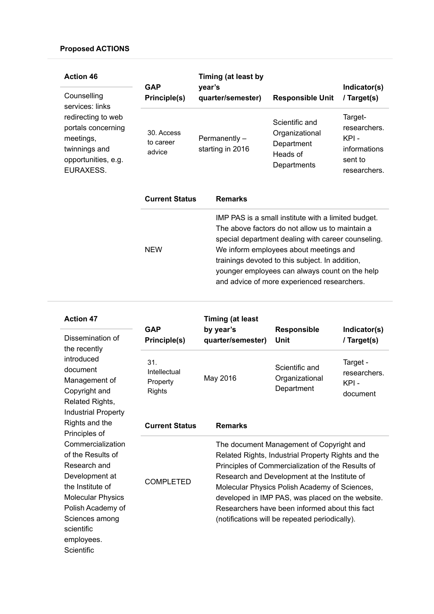| <b>Action 46</b><br>Counselling<br>services: links<br>redirecting to web<br>portals concerning<br>meetings,<br>twinnings and<br>opportunities, e.g.<br>EURAXESS. | <b>GAP</b><br><b>Principle(s)</b>                          | Timing (at least by<br>year's<br>quarter/semester)  | <b>Responsible Unit</b>                                                                                                                                                                                                                                                                                                                                    | Indicator(s)<br>/ Target(s)                                                |
|------------------------------------------------------------------------------------------------------------------------------------------------------------------|------------------------------------------------------------|-----------------------------------------------------|------------------------------------------------------------------------------------------------------------------------------------------------------------------------------------------------------------------------------------------------------------------------------------------------------------------------------------------------------------|----------------------------------------------------------------------------|
|                                                                                                                                                                  | 30. Access<br>to career<br>advice<br><b>Current Status</b> | Permanently -<br>starting in 2016<br><b>Remarks</b> | Scientific and<br>Organizational<br>Department<br>Heads of<br>Departments                                                                                                                                                                                                                                                                                  | Target-<br>researchers.<br>KPI-<br>informations<br>sent to<br>researchers. |
|                                                                                                                                                                  | <b>NEW</b>                                                 |                                                     | IMP PAS is a small institute with a limited budget.<br>The above factors do not allow us to maintain a<br>special department dealing with career counseling.<br>We inform employees about meetings and<br>trainings devoted to this subject. In addition,<br>younger employees can always count on the help<br>and advice of more experienced researchers. |                                                                            |

| <b>Action 47</b><br>Dissemination of                                                                                                                                                                      | <b>GAP</b><br><b>Principle(s)</b>                | <b>Timing (at least</b><br>by year's<br>quarter/semester)                                                                                                                                                                                                                                                                                                                                                    | <b>Responsible</b><br>Unit                     | Indicator(s)<br>/ Target(s)                  |
|-----------------------------------------------------------------------------------------------------------------------------------------------------------------------------------------------------------|--------------------------------------------------|--------------------------------------------------------------------------------------------------------------------------------------------------------------------------------------------------------------------------------------------------------------------------------------------------------------------------------------------------------------------------------------------------------------|------------------------------------------------|----------------------------------------------|
| the recently<br>introduced<br>document<br>Management of<br>Copyright and<br>Related Rights,                                                                                                               | 31.<br>Intellectual<br>Property<br><b>Rights</b> | May 2016                                                                                                                                                                                                                                                                                                                                                                                                     | Scientific and<br>Organizational<br>Department | Target -<br>researchers.<br>KPI-<br>document |
| <b>Industrial Property</b><br>Rights and the<br>Principles of                                                                                                                                             | <b>Current Status</b>                            | <b>Remarks</b>                                                                                                                                                                                                                                                                                                                                                                                               |                                                |                                              |
| Commercialization<br>of the Results of<br>Research and<br>Development at<br>the Institute of<br><b>Molecular Physics</b><br>Polish Academy of<br>Sciences among<br>scientific<br>employees.<br>Scientific | <b>COMPLETED</b>                                 | The document Management of Copyright and<br>Related Rights, Industrial Property Rights and the<br>Principles of Commercialization of the Results of<br>Research and Development at the Institute of<br>Molecular Physics Polish Academy of Sciences,<br>developed in IMP PAS, was placed on the website.<br>Researchers have been informed about this fact<br>(notifications will be repeated periodically). |                                                |                                              |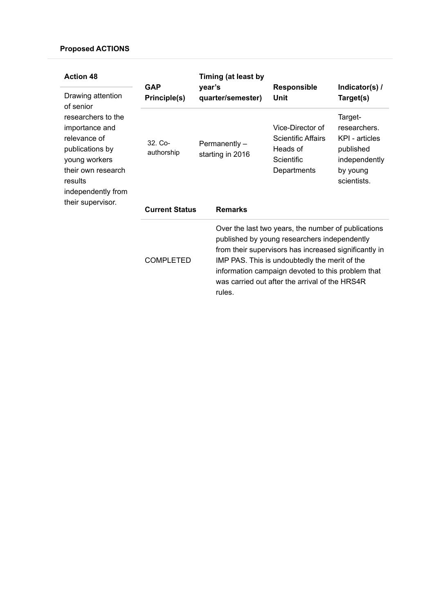| <b>Action 48</b><br>Drawing attention<br>of senior                                                                                                                   | <b>GAP</b><br>Principle(s)                       | Timing (at least by<br>year's<br>quarter/semester) | <b>Responsible</b><br>Unit                                                                                                                                                                                                                                                                                           | Indicator(s) /<br>Target(s)                                                                        |  |
|----------------------------------------------------------------------------------------------------------------------------------------------------------------------|--------------------------------------------------|----------------------------------------------------|----------------------------------------------------------------------------------------------------------------------------------------------------------------------------------------------------------------------------------------------------------------------------------------------------------------------|----------------------------------------------------------------------------------------------------|--|
| researchers to the<br>importance and<br>relevance of<br>publications by<br>young workers<br>their own research<br>results<br>independently from<br>their supervisor. | $321$ Co-<br>authorship<br><b>Current Status</b> | Permanently-<br>starting in 2016<br><b>Remarks</b> | Vice-Director of<br><b>Scientific Affairs</b><br>Heads of<br>Scientific<br>Departments                                                                                                                                                                                                                               | Target-<br>researchers.<br>KPI - articles<br>published<br>independently<br>by young<br>scientists. |  |
|                                                                                                                                                                      | <b>COMPLETED</b>                                 | rules.                                             | Over the last two years, the number of publications<br>published by young researchers independently<br>from their supervisors has increased significantly in<br>IMP PAS. This is undoubtedly the merit of the<br>information campaign devoted to this problem that<br>was carried out after the arrival of the HRS4R |                                                                                                    |  |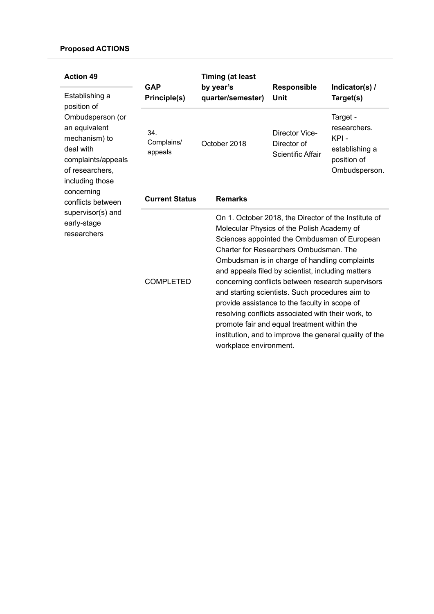| <b>Action 49</b><br>Establishing a<br>position of<br>Ombudsperson (or<br>an equivalent<br>mechanism) to<br>deal with<br>complaints/appeals<br>of researchers,<br>including those<br>concerning<br>conflicts between<br>supervisor(s) and<br>early-stage<br>researchers | <b>GAP</b><br>Principle(s)   | <b>Timing (at least</b><br>by year's<br>quarter/semester) | <b>Responsible</b><br>Unit                                                                                                                                                                                                                                                                                                                                                                                                                                                                                                                                                                                                                           | Indicator(s) /<br>Target(s)                                                        |
|------------------------------------------------------------------------------------------------------------------------------------------------------------------------------------------------------------------------------------------------------------------------|------------------------------|-----------------------------------------------------------|------------------------------------------------------------------------------------------------------------------------------------------------------------------------------------------------------------------------------------------------------------------------------------------------------------------------------------------------------------------------------------------------------------------------------------------------------------------------------------------------------------------------------------------------------------------------------------------------------------------------------------------------------|------------------------------------------------------------------------------------|
|                                                                                                                                                                                                                                                                        | 34.<br>Complains/<br>appeals | October 2018                                              | Director Vice-<br>Director of<br><b>Scientific Affair</b>                                                                                                                                                                                                                                                                                                                                                                                                                                                                                                                                                                                            | Target -<br>researchers.<br>KPI-<br>establishing a<br>position of<br>Ombudsperson. |
|                                                                                                                                                                                                                                                                        | <b>Current Status</b>        | <b>Remarks</b>                                            |                                                                                                                                                                                                                                                                                                                                                                                                                                                                                                                                                                                                                                                      |                                                                                    |
|                                                                                                                                                                                                                                                                        | <b>COMPLETED</b>             |                                                           | On 1. October 2018, the Director of the Institute of<br>Molecular Physics of the Polish Academy of<br>Sciences appointed the Ombdusman of European<br>Charter for Researchers Ombudsman. The<br>Ombudsman is in charge of handling complaints<br>and appeals filed by scientist, including matters<br>concerning conflicts between research supervisors<br>and starting scientists. Such procedures aim to<br>provide assistance to the faculty in scope of<br>resolving conflicts associated with their work, to<br>promote fair and equal treatment within the<br>institution, and to improve the general quality of the<br>workplace environment. |                                                                                    |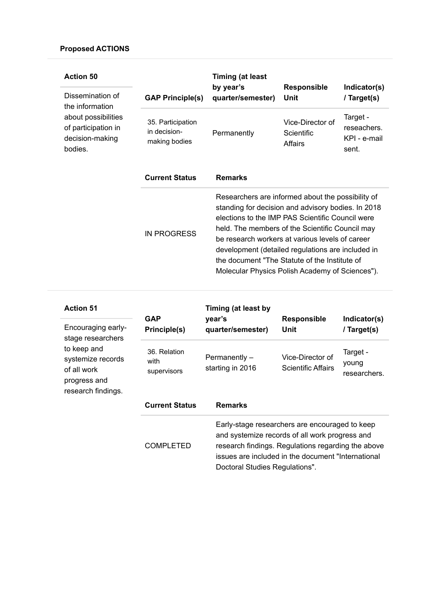| <b>Action 50</b><br>Dissemination of<br>the information                  | <b>GAP Principle(s)</b>                            | <b>Timing (at least</b><br>by year's<br>quarter/semester)                                                                                                                                                                                                                                                                                                                                                                  | Responsible<br>Unit                       | Indicator(s)<br>/ Target(s)                      |
|--------------------------------------------------------------------------|----------------------------------------------------|----------------------------------------------------------------------------------------------------------------------------------------------------------------------------------------------------------------------------------------------------------------------------------------------------------------------------------------------------------------------------------------------------------------------------|-------------------------------------------|--------------------------------------------------|
| about possibilities<br>of participation in<br>decision-making<br>bodies. | 35. Participation<br>in decision-<br>making bodies | Permanently                                                                                                                                                                                                                                                                                                                                                                                                                | Vice-Director of<br>Scientific<br>Affairs | Target -<br>reseachers.<br>KPI - e-mail<br>sent. |
|                                                                          | <b>Current Status</b>                              | <b>Remarks</b>                                                                                                                                                                                                                                                                                                                                                                                                             |                                           |                                                  |
|                                                                          | <b>IN PROGRESS</b>                                 | Researchers are informed about the possibility of<br>standing for decision and advisory bodies. In 2018<br>elections to the IMP PAS Scientific Council were<br>held. The members of the Scientific Council may<br>be research workers at various levels of career<br>development (detailed regulations are included in<br>the document "The Statute of the Institute of<br>Molecular Physics Polish Academy of Sciences"). |                                           |                                                  |

| <b>Action 51</b><br>Encouraging early-<br>stage researchers<br>to keep and<br>systemize records<br>of all work<br>progress and<br>research findings. | <b>GAP</b><br>Principle(s)          | Timing (at least by<br>year's<br>quarter/semester)                                                                                                                                                                                             | <b>Responsible</b><br>Unit             | Indicator(s)<br>/ Target(s)       |
|------------------------------------------------------------------------------------------------------------------------------------------------------|-------------------------------------|------------------------------------------------------------------------------------------------------------------------------------------------------------------------------------------------------------------------------------------------|----------------------------------------|-----------------------------------|
|                                                                                                                                                      | 36. Relation<br>with<br>supervisors | Permanently -<br>starting in 2016                                                                                                                                                                                                              | Vice-Director of<br>Scientific Affairs | Target -<br>young<br>researchers. |
|                                                                                                                                                      | <b>Current Status</b>               | <b>Remarks</b>                                                                                                                                                                                                                                 |                                        |                                   |
|                                                                                                                                                      | <b>COMPLETED</b>                    | Early-stage researchers are encouraged to keep<br>and systemize records of all work progress and<br>research findings. Regulations regarding the above<br>issues are included in the document "International<br>Doctoral Studies Regulations". |                                        |                                   |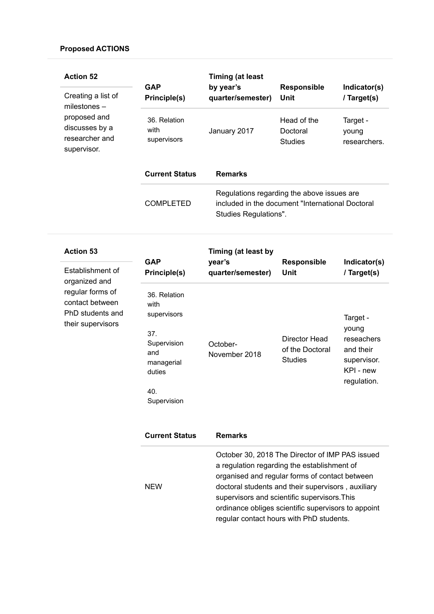| <b>Action 52</b><br>Creating a list of<br>milestones -                       | <b>GAP</b><br>Principle(s)                                                                                     | <b>Timing (at least</b><br>by year's<br>quarter/semester) | <b>Responsible</b><br>Unit                                                                     | Indicator(s)<br>/ Target(s)                                                             |
|------------------------------------------------------------------------------|----------------------------------------------------------------------------------------------------------------|-----------------------------------------------------------|------------------------------------------------------------------------------------------------|-----------------------------------------------------------------------------------------|
| proposed and<br>discusses by a<br>researcher and<br>supervisor.              | 36. Relation<br>with<br>supervisors                                                                            | January 2017                                              | Head of the<br>Doctoral<br><b>Studies</b>                                                      | Target -<br>young<br>researchers.                                                       |
|                                                                              | <b>Current Status</b>                                                                                          | <b>Remarks</b>                                            |                                                                                                |                                                                                         |
|                                                                              | <b>COMPLETED</b>                                                                                               | Studies Regulations".                                     | Regulations regarding the above issues are<br>included in the document "International Doctoral |                                                                                         |
| <b>Action 53</b>                                                             |                                                                                                                | Timing (at least by                                       |                                                                                                |                                                                                         |
| Establishment of<br>organized and                                            | <b>GAP</b><br><b>Principle(s)</b>                                                                              | year's<br>quarter/semester)                               | <b>Responsible</b><br>Unit                                                                     | Indicator(s)<br>/ Target(s)                                                             |
| regular forms of<br>contact between<br>PhD students and<br>their supervisors | 36. Relation<br>with<br>supervisors<br>37.<br>Supervision<br>and<br>managerial<br>duties<br>40.<br>Supervision | October-<br>November 2018                                 | <b>Director Head</b><br>of the Doctoral<br><b>Studies</b>                                      | Target -<br>young<br>reseachers<br>and their<br>supervisor.<br>KPI - new<br>regulation. |
|                                                                              | <b>Current Status</b>                                                                                          | <b>Remarks</b>                                            |                                                                                                |                                                                                         |

|            | October 30, 2018 The Director of IMP PAS issued     |
|------------|-----------------------------------------------------|
|            | a regulation regarding the establishment of         |
|            | organised and regular forms of contact between      |
| <b>NEW</b> | doctoral students and their supervisors, auxiliary  |
|            | supervisors and scientific supervisors. This        |
|            | ordinance obliges scientific supervisors to appoint |
|            | regular contact hours with PhD students.            |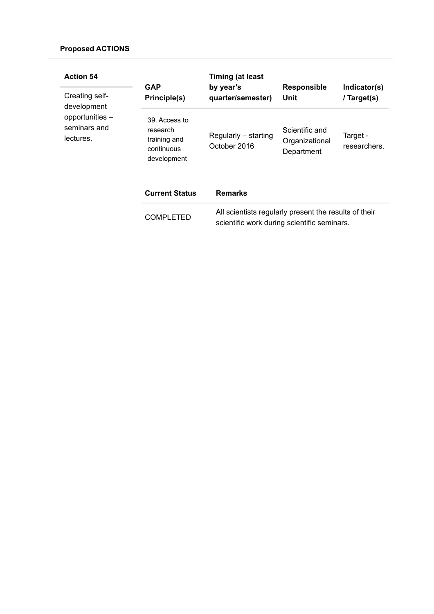| <b>Action 54</b>                             | <b>GAP</b>                                                             | <b>Timing (at least</b><br>by year's                                                                 | <b>Responsible</b>                             | Indicator(s)             |
|----------------------------------------------|------------------------------------------------------------------------|------------------------------------------------------------------------------------------------------|------------------------------------------------|--------------------------|
| Creating self-<br>development                | Principle(s)                                                           | quarter/semester)                                                                                    | Unit                                           | / Target(s)              |
| opportunities -<br>seminars and<br>lectures. | 39. Access to<br>research<br>training and<br>continuous<br>development | Regularly – starting<br>October 2016                                                                 | Scientific and<br>Organizational<br>Department | Target -<br>researchers. |
|                                              | <b>Current Status</b>                                                  | <b>Remarks</b>                                                                                       |                                                |                          |
|                                              | <b>COMPLETED</b>                                                       | All scientists regularly present the results of their<br>scientific work during scientific seminars. |                                                |                          |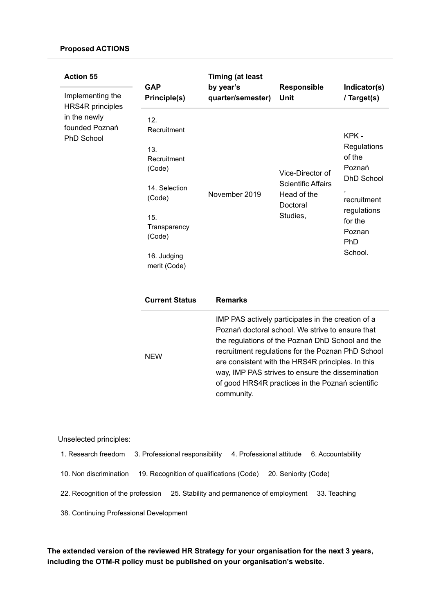| <b>Action 55</b><br>Implementing the                                           | <b>GAP</b>                                                                                                                                    | <b>Timing (at least</b><br>by year's                                                                                                                                                                                                                                                                                                                                                       | Responsible                                                                          | Indicator(s)                                                                                                                           |
|--------------------------------------------------------------------------------|-----------------------------------------------------------------------------------------------------------------------------------------------|--------------------------------------------------------------------------------------------------------------------------------------------------------------------------------------------------------------------------------------------------------------------------------------------------------------------------------------------------------------------------------------------|--------------------------------------------------------------------------------------|----------------------------------------------------------------------------------------------------------------------------------------|
|                                                                                | Principle(s)                                                                                                                                  | quarter/semester)                                                                                                                                                                                                                                                                                                                                                                          | <b>Unit</b>                                                                          | / Target(s)                                                                                                                            |
| <b>HRS4R</b> principles<br>in the newly<br>founded Poznań<br><b>PhD School</b> | 12.<br>Recruitment<br>13.<br>Recruitment<br>(Code)<br>14. Selection<br>(Code)<br>15.<br>Transparency<br>(Code)<br>16. Judging<br>merit (Code) | November 2019                                                                                                                                                                                                                                                                                                                                                                              | Vice-Director of<br><b>Scientific Affairs</b><br>Head of the<br>Doctoral<br>Studies, | KPK-<br>Regulations<br>of the<br>Poznań<br><b>DhD School</b><br>,<br>recruitment<br>regulations<br>for the<br>Poznan<br>PhD<br>School. |
|                                                                                | <b>Current Status</b>                                                                                                                         | <b>Remarks</b>                                                                                                                                                                                                                                                                                                                                                                             |                                                                                      |                                                                                                                                        |
|                                                                                | <b>NEW</b>                                                                                                                                    | IMP PAS actively participates in the creation of a<br>Poznań doctoral school. We strive to ensure that<br>the regulations of the Poznań DhD School and the<br>recruitment regulations for the Poznan PhD School<br>are consistent with the HRS4R principles. In this<br>way, IMP PAS strives to ensure the dissemination<br>of good HRS4R practices in the Poznań scientific<br>community. |                                                                                      |                                                                                                                                        |

# Unselected principles:

| 1. Research freedom                     |  | 3. Professional responsibility             |  | 4. Professional attitude | 6. Accountability |
|-----------------------------------------|--|--------------------------------------------|--|--------------------------|-------------------|
| 10. Non discrimination                  |  | 19. Recognition of qualifications (Code)   |  | 20. Seniority (Code)     |                   |
| 22. Recognition of the profession       |  | 25. Stability and permanence of employment |  |                          | 33. Teaching      |
| 38. Continuing Professional Development |  |                                            |  |                          |                   |

The extended version of the reviewed HR Strategy for your organisation for the next 3 years, including the OTM-R policy must be published on your organisation's website.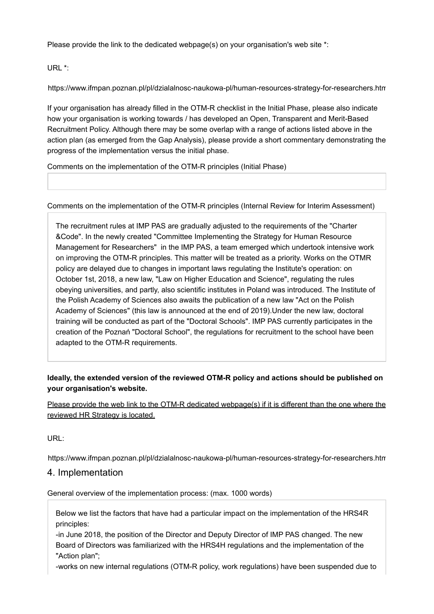Please provide the link to the dedicated webpage(s) on your organisation's web site \*:

URL \*:

https://www.ifmpan.poznan.pl/pl/dzialalnosc-naukowa-pl/human-resources-strategy-for-researchers.htm

If your organisation has already filled in the OTM-R checklist in the Initial Phase, please also indicate how your organisation is working towards / has developed an Open, Transparent and Merit-Based Recruitment Policy. Although there may be some overlap with a range of actions listed above in the action plan (as emerged from the Gap Analysis), please provide a short commentary demonstrating the progress of the implementation versus the initial phase.

Comments on the implementation of the OTM-R principles (Initial Phase)

Comments on the implementation of the OTM-R principles (Internal Review for Interim Assessment)

The recruitment rules at IMP PAS are gradually adjusted to the requirements of the "Charter &Code". In the newly created "Committee Implementing the Strategy for Human Resource Management for Researchers" in the IMP PAS, a team emerged which undertook intensive work on improving the OTM-R principles. This matter will be treated as a priority. Works on the OTMR policy are delayed due to changes in important laws regulating the Institute's operation: on October 1st, 2018, a new law, "Law on Higher Education and Science", regulating the rules obeying universities, and partly, also scientific institutes in Poland was introduced. The Institute of the Polish Academy of Sciences also awaits the publication of a new law "Act on the Polish Academy of Sciences" (this law is announced at the end of 2019).Under the new law, doctoral training will be conducted as part of the "Doctoral Schools". IMP PAS currently participates in the creation of the Poznań "Doctoral School", the regulations for recruitment to the school have been adapted to the OTM-R requirements.

# Ideally, the extended version of the reviewed OTM-R policy and actions should be published on your organisation's website.

Please provide the web link to the OTM-R dedicated webpage(s) if it is different than the one where the reviewed HR Strategy is located.

URL:

https://www.ifmpan.poznan.pl/pl/dzialalnosc-naukowa-pl/human-resources-strategy-for-researchers.htm

# 4. Implementation

General overview of the implementation process: (max. 1000 words)

Below we list the factors that have had a particular impact on the implementation of the HRS4R principles:

-in June 2018, the position of the Director and Deputy Director of IMP PAS changed. The new Board of Directors was familiarized with the HRS4H regulations and the implementation of the "Action plan";

-works on new internal regulations (OTM-R policy, work regulations) have been suspended due to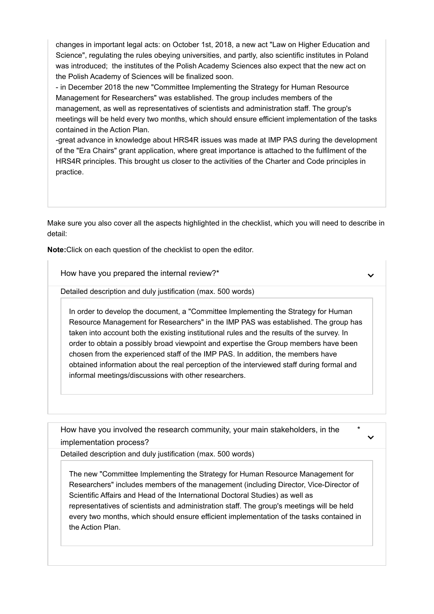changes in important legal acts: on October 1st, 2018, a new act "Law on Higher Education and Science", regulating the rules obeying universities, and partly, also scientific institutes in Poland was introduced; the institutes of the Polish Academy Sciences also expect that the new act on the Polish Academy of Sciences will be finalized soon.

- in December 2018 the new "Committee Implementing the Strategy for Human Resource Management for Researchers" was established. The group includes members of the management, as well as representatives of scientists and administration staff. The group's meetings will be held every two months, which should ensure efficient implementation of the tasks contained in the Action Plan.

-great advance in knowledge about HRS4R issues was made at IMP PAS during the development of the "Era Chairs" grant application, where great importance is attached to the fulfilment of the HRS4R principles. This brought us closer to the activities of the Charter and Code principles in practice.

Make sure you also cover all the aspects highlighted in the checklist, which you will need to describe in detail:

Note:Click on each question of the checklist to open the editor.

How have you prepared the internal review?\*

Detailed description and duly justification (max. 500 words)

In order to develop the document, a "Committee Implementing the Strategy for Human Resource Management for Researchers" in the IMP PAS was established. The group has taken into account both the existing institutional rules and the results of the survey. In order to obtain a possibly broad viewpoint and expertise the Group members have been chosen from the experienced staff of the IMP PAS. In addition, the members have obtained information about the real perception of the interviewed staff during formal and informal meetings/discussions with other researchers.

How have you involved the research community, your main stakeholders, in the implementation process?

\*

Detailed description and duly justification (max. 500 words)

The new "Committee Implementing the Strategy for Human Resource Management for Researchers" includes members of the management (including Director, Vice-Director of Scientific Affairs and Head of the International Doctoral Studies) as well as representatives of scientists and administration staff. The group's meetings will be held every two months, which should ensure efficient implementation of the tasks contained in the Action Plan.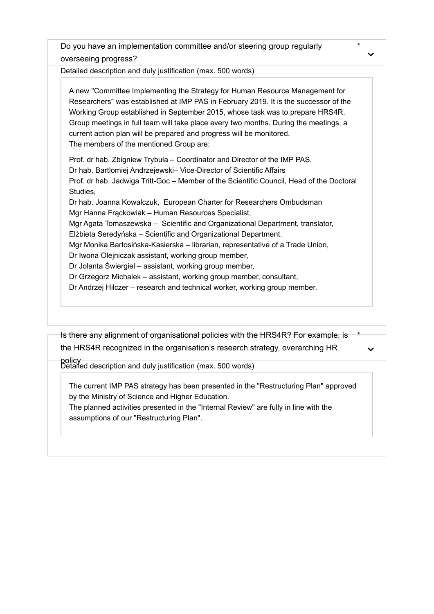Do you have an implementation committee and/or steering group regularly overseeing progress?

Detailed description and duly justification (max. 500 words)

A new "Committee Implementing the Strategy for Human Resource Management for Researchers" was established at IMP PAS in February 2019. It is the successor of the Working Group established in September 2015, whose task was to prepare HRS4R. Group meetings in full team will take place every two months. During the meetings, a current action plan will be prepared and progress will be monitored. The members of the mentioned Group are:

Prof. dr hab. Zbigniew Trybuła – Coordinator and Director of the IMP PAS, Dr hab. Bartlomiej Andrzejewski– Vice-Director of Scientific Affairs Prof. dr hab. Jadwiga Tritt-Goc – Member of the Scientific Council, Head of the Doctoral Studies,

Dr hab. Joanna Kowalczuk, European Charter for Researchers Ombudsman Mgr Hanna Frąckowiak – Human Resources Specialist,

Mgr Agata Tomaszewska – Scientific and Organizational Department, translator,

Elżbieta Seredyńska – Scientific and Organizational Department.

Mgr Monika Bartosińska-Kasierska – librarian, representative of a Trade Union,

Dr Iwona Olejniczak assistant, working group member,

Dr Jolanta Świergiel – assistant, working group member,

Dr Grzegorz Michalek – assistant, working group member, consultant,

Dr Andrzej Hilczer – research and technical worker, working group member.

Is there any alignment of organisational policies with the HRS4R? For example, is the HRS4R recognized in the organisation's research strategy, overarching HR

 $\checkmark$ 

\*

\*

policy Detailed description and duly justification (max. 500 words)

The current IMP PAS strategy has been presented in the "Restructuring Plan" approved by the Ministry of Science and Higher Education.

The planned activities presented in the "Internal Review" are fully in line with the assumptions of our "Restructuring Plan".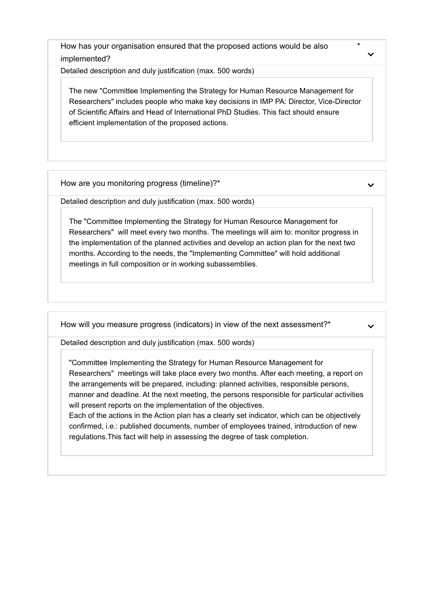How has your organisation ensured that the proposed actions would be also implemented?

Detailed description and duly justification (max. 500 words)

The new "Committee Implementing the Strategy for Human Resource Management for Researchers" includes people who make key decisions in IMP PA: Director, Vice-Director of Scientific Affairs and Head of International PhD Studies. This fact should ensure efficient implementation of the proposed actions.

How are you monitoring progress (timeline)? \*

Detailed description and duly justification (max. 500 words)

The "Committee Implementing the Strategy for Human Resource Management for Researchers" will meet every two months. The meetings will aim to: monitor progress in the implementation of the planned activities and develop an action plan for the next two months. According to the needs, the "Implementing Committee" will hold additional meetings in full composition or in working subassemblies.

How will you measure progress (indicators) in view of the next assessment?\*

Detailed description and duly justification (max. 500 words)

"Committee Implementing the Strategy for Human Resource Management for Researchers" meetings will take place every two months. After each meeting, a report on the arrangements will be prepared, including: planned activities, responsible persons, manner and deadline. At the next meeting, the persons responsible for particular activities will present reports on the implementation of the objectives.

Each of the actions in the Action plan has a clearly set indicator, which can be objectively confirmed, i.e.: published documents, number of employees trained, introduction of new regulations.This fact will help in assessing the degree of task completion.

\*